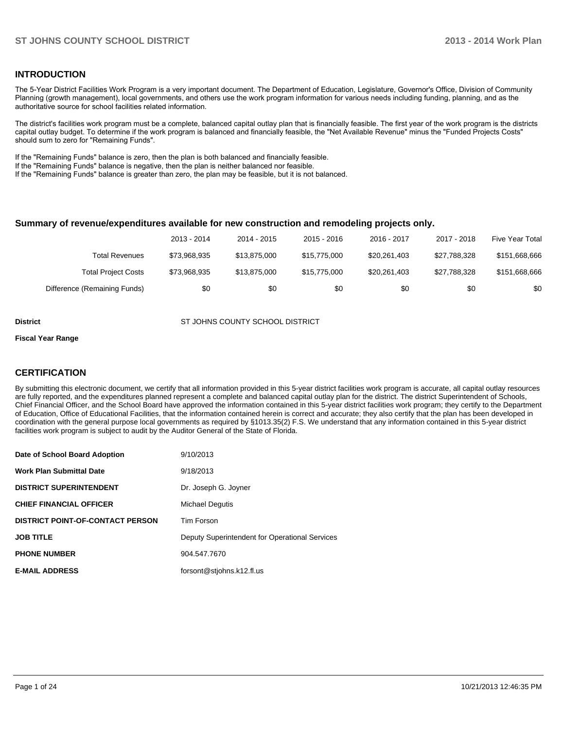#### **INTRODUCTION**

The 5-Year District Facilities Work Program is a very important document. The Department of Education, Legislature, Governor's Office, Division of Community Planning (growth management), local governments, and others use the work program information for various needs including funding, planning, and as the authoritative source for school facilities related information.

The district's facilities work program must be a complete, balanced capital outlay plan that is financially feasible. The first year of the work program is the districts capital outlay budget. To determine if the work program is balanced and financially feasible, the "Net Available Revenue" minus the "Funded Projects Costs" should sum to zero for "Remaining Funds".

If the "Remaining Funds" balance is zero, then the plan is both balanced and financially feasible.

If the "Remaining Funds" balance is negative, then the plan is neither balanced nor feasible.

If the "Remaining Funds" balance is greater than zero, the plan may be feasible, but it is not balanced.

#### **Summary of revenue/expenditures available for new construction and remodeling projects only.**

|                              | 2013 - 2014  | 2014 - 2015  | $2015 - 2016$ | 2016 - 2017  | 2017 - 2018  | Five Year Total |
|------------------------------|--------------|--------------|---------------|--------------|--------------|-----------------|
| Total Revenues               | \$73.968.935 | \$13.875.000 | \$15,775,000  | \$20,261,403 | \$27.788.328 | \$151,668,666   |
| <b>Total Project Costs</b>   | \$73,968,935 | \$13.875.000 | \$15,775,000  | \$20,261,403 | \$27.788.328 | \$151,668,666   |
| Difference (Remaining Funds) | \$0          | \$0          | \$0           | \$0          | \$0          | \$0             |

**District COUNTY SCHOOL DISTRICT** ST JOHNS COUNTY SCHOOL DISTRICT

#### **Fiscal Year Range**

#### **CERTIFICATION**

By submitting this electronic document, we certify that all information provided in this 5-year district facilities work program is accurate, all capital outlay resources are fully reported, and the expenditures planned represent a complete and balanced capital outlay plan for the district. The district Superintendent of Schools, Chief Financial Officer, and the School Board have approved the information contained in this 5-year district facilities work program; they certify to the Department of Education, Office of Educational Facilities, that the information contained herein is correct and accurate; they also certify that the plan has been developed in coordination with the general purpose local governments as required by §1013.35(2) F.S. We understand that any information contained in this 5-year district facilities work program is subject to audit by the Auditor General of the State of Florida.

| Date of School Board Adoption           | 9/10/2013                                      |
|-----------------------------------------|------------------------------------------------|
| <b>Work Plan Submittal Date</b>         | 9/18/2013                                      |
| <b>DISTRICT SUPERINTENDENT</b>          | Dr. Joseph G. Joyner                           |
| <b>CHIEF FINANCIAL OFFICER</b>          | <b>Michael Dequtis</b>                         |
| <b>DISTRICT POINT-OF-CONTACT PERSON</b> | <b>Tim Forson</b>                              |
| <b>JOB TITLE</b>                        | Deputy Superintendent for Operational Services |
| <b>PHONE NUMBER</b>                     | 904.547.7670                                   |
| <b>E-MAIL ADDRESS</b>                   | forsont@stjohns.k12.fl.us                      |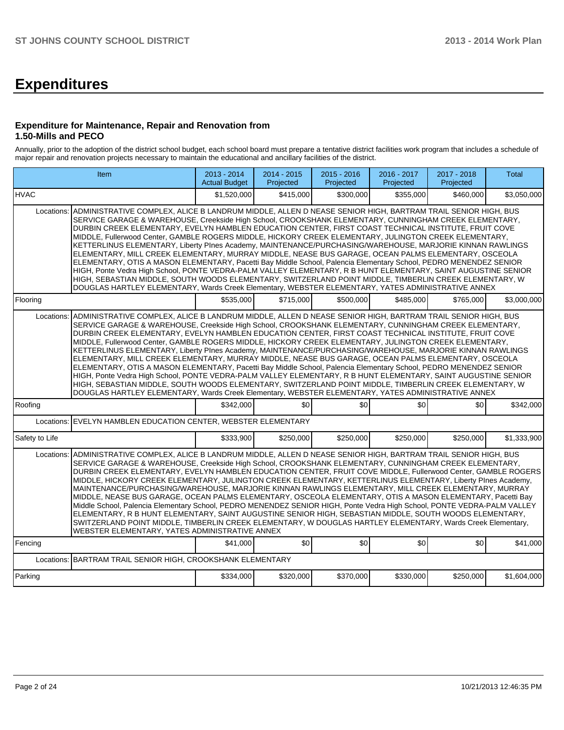# **Expenditures**

#### **Expenditure for Maintenance, Repair and Renovation from 1.50-Mills and PECO**

Annually, prior to the adoption of the district school budget, each school board must prepare a tentative district facilities work program that includes a schedule of major repair and renovation projects necessary to maintain the educational and ancillary facilities of the district.

| Item                                                                                                                                                                                                                                                                                                                                                                                                                                                                                                                                                                                                                                                                                                                                                                                                                                                                                                                                                                                                                                                                                            |                                                                                                                                                                                                                                                                                                                                                                                                                                                                                                                                                                                                                                                                                                                                                                                                                                                                                                                                                                                                                                                                                                                                                                                                    | 2013 - 2014<br><b>Actual Budget</b> | 2014 - 2015<br>Projected | $2015 - 2016$<br>Projected | 2016 - 2017<br>Projected | 2017 - 2018<br>Projected | <b>Total</b> |  |  |  |
|-------------------------------------------------------------------------------------------------------------------------------------------------------------------------------------------------------------------------------------------------------------------------------------------------------------------------------------------------------------------------------------------------------------------------------------------------------------------------------------------------------------------------------------------------------------------------------------------------------------------------------------------------------------------------------------------------------------------------------------------------------------------------------------------------------------------------------------------------------------------------------------------------------------------------------------------------------------------------------------------------------------------------------------------------------------------------------------------------|----------------------------------------------------------------------------------------------------------------------------------------------------------------------------------------------------------------------------------------------------------------------------------------------------------------------------------------------------------------------------------------------------------------------------------------------------------------------------------------------------------------------------------------------------------------------------------------------------------------------------------------------------------------------------------------------------------------------------------------------------------------------------------------------------------------------------------------------------------------------------------------------------------------------------------------------------------------------------------------------------------------------------------------------------------------------------------------------------------------------------------------------------------------------------------------------------|-------------------------------------|--------------------------|----------------------------|--------------------------|--------------------------|--------------|--|--|--|
| <b>HVAC</b>                                                                                                                                                                                                                                                                                                                                                                                                                                                                                                                                                                                                                                                                                                                                                                                                                                                                                                                                                                                                                                                                                     |                                                                                                                                                                                                                                                                                                                                                                                                                                                                                                                                                                                                                                                                                                                                                                                                                                                                                                                                                                                                                                                                                                                                                                                                    | \$1,520,000                         | \$415,000                | \$300,000                  | \$355,000                | \$460,000                | \$3,050,000  |  |  |  |
| Locations:                                                                                                                                                                                                                                                                                                                                                                                                                                                                                                                                                                                                                                                                                                                                                                                                                                                                                                                                                                                                                                                                                      | ADMINISTRATIVE COMPLEX, ALICE B LANDRUM MIDDLE, ALLEN D NEASE SENIOR HIGH, BARTRAM TRAIL SENIOR HIGH, BUS<br>SERVICE GARAGE & WAREHOUSE, Creekside High School, CROOKSHANK ELEMENTARY, CUNNINGHAM CREEK ELEMENTARY,<br>DURBIN CREEK ELEMENTARY, EVELYN HAMBLEN EDUCATION CENTER, FIRST COAST TECHNICAL INSTITUTE, FRUIT COVE<br>MIDDLE, Fullerwood Center, GAMBLE ROGERS MIDDLE, HICKORY CREEK ELEMENTARY, JULINGTON CREEK ELEMENTARY,<br>KETTERLINUS ELEMENTARY, Liberty Plnes Academy, MAINTENANCE/PURCHASING/WAREHOUSE, MARJORIE KINNAN RAWLINGS<br>ELEMENTARY, MILL CREEK ELEMENTARY, MURRAY MIDDLE, NEASE BUS GARAGE, OCEAN PALMS ELEMENTARY, OSCEOLA<br>ELEMENTARY, OTIS A MASON ELEMENTARY, Pacetti Bay Middle School, Palencia Elementary School, PEDRO MENENDEZ SENIOR<br>HIGH, Ponte Vedra High School, PONTE VEDRA-PALM VALLEY ELEMENTARY, R B HUNT ELEMENTARY, SAINT AUGUSTINE SENIOR<br>HIGH, SEBASTIAN MIDDLE, SOUTH WOODS ELEMENTARY, SWITZERLAND POINT MIDDLE, TIMBERLIN CREEK ELEMENTARY, W<br>DOUGLAS HARTLEY ELEMENTARY, Wards Creek Elementary, WEBSTER ELEMENTARY, YATES ADMINISTRATIVE ANNEX<br>\$535,000<br>\$715,000<br>\$500,000<br>\$485,000<br>\$765,000<br>\$3,000,000 |                                     |                          |                            |                          |                          |              |  |  |  |
| Flooring                                                                                                                                                                                                                                                                                                                                                                                                                                                                                                                                                                                                                                                                                                                                                                                                                                                                                                                                                                                                                                                                                        |                                                                                                                                                                                                                                                                                                                                                                                                                                                                                                                                                                                                                                                                                                                                                                                                                                                                                                                                                                                                                                                                                                                                                                                                    |                                     |                          |                            |                          |                          |              |  |  |  |
| Locations:                                                                                                                                                                                                                                                                                                                                                                                                                                                                                                                                                                                                                                                                                                                                                                                                                                                                                                                                                                                                                                                                                      | ADMINISTRATIVE COMPLEX, ALICE B LANDRUM MIDDLE, ALLEN D NEASE SENIOR HIGH, BARTRAM TRAIL SENIOR HIGH, BUS<br>SERVICE GARAGE & WAREHOUSE, Creekside High School, CROOKSHANK ELEMENTARY, CUNNINGHAM CREEK ELEMENTARY,<br>DURBIN CREEK ELEMENTARY, EVELYN HAMBLEN EDUCATION CENTER, FIRST COAST TECHNICAL INSTITUTE, FRUIT COVE<br>MIDDLE, Fullerwood Center, GAMBLE ROGERS MIDDLE, HICKORY CREEK ELEMENTARY, JULINGTON CREEK ELEMENTARY,<br>KETTERLINUS ELEMENTARY, Liberty PInes Academy, MAINTENANCE/PURCHASING/WAREHOUSE, MARJORIE KINNAN RAWLINGS<br>ELEMENTARY, MILL CREEK ELEMENTARY, MURRAY MIDDLE, NEASE BUS GARAGE, OCEAN PALMS ELEMENTARY, OSCEOLA<br>ELEMENTARY, OTIS A MASON ELEMENTARY, Pacetti Bay Middle School, Palencia Elementary School, PEDRO MENENDEZ SENIOR<br>HIGH, Ponte Vedra High School, PONTE VEDRA-PALM VALLEY ELEMENTARY, R B HUNT ELEMENTARY, SAINT AUGUSTINE SENIOR<br>HIGH, SEBASTIAN MIDDLE, SOUTH WOODS ELEMENTARY, SWITZERLAND POINT MIDDLE, TIMBERLIN CREEK ELEMENTARY, W<br>DOUGLAS HARTLEY ELEMENTARY, Wards Creek Elementary, WEBSTER ELEMENTARY, YATES ADMINISTRATIVE ANNEX                                                                                 |                                     |                          |                            |                          |                          |              |  |  |  |
| Roofing                                                                                                                                                                                                                                                                                                                                                                                                                                                                                                                                                                                                                                                                                                                                                                                                                                                                                                                                                                                                                                                                                         |                                                                                                                                                                                                                                                                                                                                                                                                                                                                                                                                                                                                                                                                                                                                                                                                                                                                                                                                                                                                                                                                                                                                                                                                    | \$342,000                           | \$0                      | \$0                        | \$0                      | \$0                      | \$342,000    |  |  |  |
| Locations: EVELYN HAMBLEN EDUCATION CENTER, WEBSTER ELEMENTARY                                                                                                                                                                                                                                                                                                                                                                                                                                                                                                                                                                                                                                                                                                                                                                                                                                                                                                                                                                                                                                  |                                                                                                                                                                                                                                                                                                                                                                                                                                                                                                                                                                                                                                                                                                                                                                                                                                                                                                                                                                                                                                                                                                                                                                                                    |                                     |                          |                            |                          |                          |              |  |  |  |
| Safety to Life                                                                                                                                                                                                                                                                                                                                                                                                                                                                                                                                                                                                                                                                                                                                                                                                                                                                                                                                                                                                                                                                                  |                                                                                                                                                                                                                                                                                                                                                                                                                                                                                                                                                                                                                                                                                                                                                                                                                                                                                                                                                                                                                                                                                                                                                                                                    | \$333,900                           | \$250.000                | \$250.000                  | \$250,000                | \$250,000                | \$1.333.900  |  |  |  |
| Locations:<br>ADMINISTRATIVE COMPLEX, ALICE B LANDRUM MIDDLE, ALLEN D NEASE SENIOR HIGH, BARTRAM TRAIL SENIOR HIGH, BUS<br>SERVICE GARAGE & WAREHOUSE, Creekside High School, CROOKSHANK ELEMENTARY, CUNNINGHAM CREEK ELEMENTARY,<br>DURBIN CREEK ELEMENTARY, EVELYN HAMBLEN EDUCATION CENTER, FRUIT COVE MIDDLE, Fullerwood Center, GAMBLE ROGERS<br>MIDDLE, HICKORY CREEK ELEMENTARY, JULINGTON CREEK ELEMENTARY, KETTERLINUS ELEMENTARY, Liberty PInes Academy,<br>MAINTENANCE/PURCHASING/WAREHOUSE, MARJORIE KINNAN RAWLINGS ELEMENTARY, MILL CREEK ELEMENTARY, MURRAY<br>MIDDLE, NEASE BUS GARAGE, OCEAN PALMS ELEMENTARY, OSCEOLA ELEMENTARY, OTIS A MASON ELEMENTARY, Pacetti Bay<br>Middle School, Palencia Elementary School, PEDRO MENENDEZ SENIOR HIGH, Ponte Vedra High School, PONTE VEDRA-PALM VALLEY<br>ELEMENTARY, R B HUNT ELEMENTARY, SAINT AUGUSTINE SENIOR HIGH, SEBASTIAN MIDDLE, SOUTH WOODS ELEMENTARY,<br>SWITZERLAND POINT MIDDLE, TIMBERLIN CREEK ELEMENTARY, W DOUGLAS HARTLEY ELEMENTARY, Wards Creek Elementary,<br>WEBSTER ELEMENTARY, YATES ADMINISTRATIVE ANNEX |                                                                                                                                                                                                                                                                                                                                                                                                                                                                                                                                                                                                                                                                                                                                                                                                                                                                                                                                                                                                                                                                                                                                                                                                    |                                     |                          |                            |                          |                          |              |  |  |  |
| Fencing                                                                                                                                                                                                                                                                                                                                                                                                                                                                                                                                                                                                                                                                                                                                                                                                                                                                                                                                                                                                                                                                                         |                                                                                                                                                                                                                                                                                                                                                                                                                                                                                                                                                                                                                                                                                                                                                                                                                                                                                                                                                                                                                                                                                                                                                                                                    | \$41,000                            | \$0                      | \$0                        | \$0                      | \$0                      | \$41,000     |  |  |  |
| Locations: BARTRAM TRAIL SENIOR HIGH, CROOKSHANK ELEMENTARY                                                                                                                                                                                                                                                                                                                                                                                                                                                                                                                                                                                                                                                                                                                                                                                                                                                                                                                                                                                                                                     |                                                                                                                                                                                                                                                                                                                                                                                                                                                                                                                                                                                                                                                                                                                                                                                                                                                                                                                                                                                                                                                                                                                                                                                                    |                                     |                          |                            |                          |                          |              |  |  |  |
| Parking                                                                                                                                                                                                                                                                                                                                                                                                                                                                                                                                                                                                                                                                                                                                                                                                                                                                                                                                                                                                                                                                                         |                                                                                                                                                                                                                                                                                                                                                                                                                                                                                                                                                                                                                                                                                                                                                                                                                                                                                                                                                                                                                                                                                                                                                                                                    | \$334,000                           | \$320,000                | \$370,000                  | \$330,000                | \$250,000                | \$1,604,000  |  |  |  |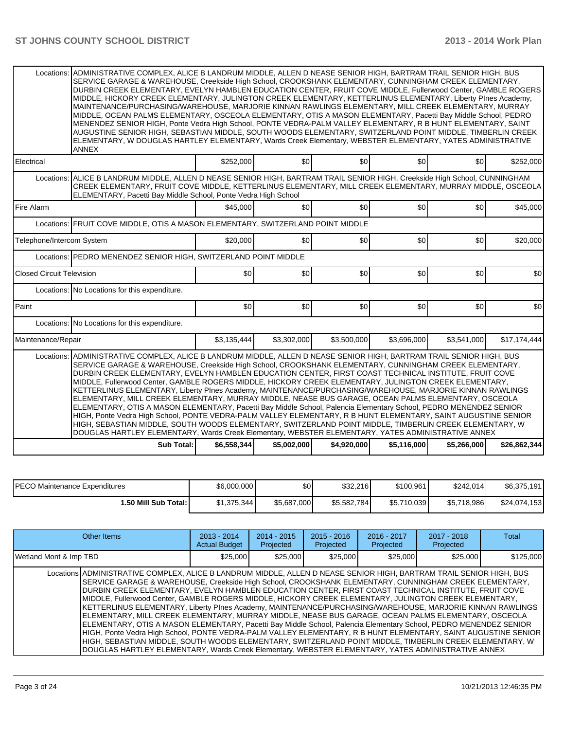| Electrical<br>Locations:<br>Fire Alarm<br>Locations:<br>Telephone/Intercom System<br><b>Closed Circuit Television</b> | ALICE B LANDRUM MIDDLE, ALLEN D NEASE SENIOR HIGH, BARTRAM TRAIL SENIOR HIGH, Creekside High School, CUNNINGHAM<br>CREEK ELEMENTARY, FRUIT COVE MIDDLE, KETTERLINUS ELEMENTARY, MILL CREEK ELEMENTARY, MURRAY MIDDLE, OSCEOLA<br>ELEMENTARY, Pacetti Bay Middle School, Ponte Vedra High School<br>FRUIT COVE MIDDLE, OTIS A MASON ELEMENTARY, SWITZERLAND POINT MIDDLE                                                                                                                                                                                                                                                                                                                                                                                                                                                                                                                                      | \$252,000<br>\$45,000 | \$0<br>\$0                 | \$0 <br>\$0 | \$0<br>\$0  | \$0                                                                                                                                                                                                                          | \$252,000    |  |  |  |
|-----------------------------------------------------------------------------------------------------------------------|--------------------------------------------------------------------------------------------------------------------------------------------------------------------------------------------------------------------------------------------------------------------------------------------------------------------------------------------------------------------------------------------------------------------------------------------------------------------------------------------------------------------------------------------------------------------------------------------------------------------------------------------------------------------------------------------------------------------------------------------------------------------------------------------------------------------------------------------------------------------------------------------------------------|-----------------------|----------------------------|-------------|-------------|------------------------------------------------------------------------------------------------------------------------------------------------------------------------------------------------------------------------------|--------------|--|--|--|
|                                                                                                                       |                                                                                                                                                                                                                                                                                                                                                                                                                                                                                                                                                                                                                                                                                                                                                                                                                                                                                                              |                       |                            |             |             |                                                                                                                                                                                                                              |              |  |  |  |
|                                                                                                                       |                                                                                                                                                                                                                                                                                                                                                                                                                                                                                                                                                                                                                                                                                                                                                                                                                                                                                                              |                       |                            |             |             |                                                                                                                                                                                                                              |              |  |  |  |
|                                                                                                                       |                                                                                                                                                                                                                                                                                                                                                                                                                                                                                                                                                                                                                                                                                                                                                                                                                                                                                                              |                       |                            |             |             | \$0                                                                                                                                                                                                                          | \$45,000     |  |  |  |
|                                                                                                                       |                                                                                                                                                                                                                                                                                                                                                                                                                                                                                                                                                                                                                                                                                                                                                                                                                                                                                                              |                       |                            |             |             |                                                                                                                                                                                                                              |              |  |  |  |
|                                                                                                                       |                                                                                                                                                                                                                                                                                                                                                                                                                                                                                                                                                                                                                                                                                                                                                                                                                                                                                                              | \$20,000              | \$0                        | \$0         | \$0         | \$0                                                                                                                                                                                                                          | \$20,000     |  |  |  |
|                                                                                                                       | Locations: PEDRO MENENDEZ SENIOR HIGH, SWITZERLAND POINT MIDDLE                                                                                                                                                                                                                                                                                                                                                                                                                                                                                                                                                                                                                                                                                                                                                                                                                                              |                       |                            |             |             |                                                                                                                                                                                                                              |              |  |  |  |
|                                                                                                                       |                                                                                                                                                                                                                                                                                                                                                                                                                                                                                                                                                                                                                                                                                                                                                                                                                                                                                                              | \$0                   | \$0                        | 30          | \$0         | \$0                                                                                                                                                                                                                          | \$0          |  |  |  |
| Locations: No Locations for this expenditure.                                                                         |                                                                                                                                                                                                                                                                                                                                                                                                                                                                                                                                                                                                                                                                                                                                                                                                                                                                                                              |                       |                            |             |             |                                                                                                                                                                                                                              |              |  |  |  |
| Paint                                                                                                                 |                                                                                                                                                                                                                                                                                                                                                                                                                                                                                                                                                                                                                                                                                                                                                                                                                                                                                                              | \$0                   | \$0                        | \$0         | \$0         | \$0                                                                                                                                                                                                                          | \$0          |  |  |  |
|                                                                                                                       | Locations: No Locations for this expenditure.                                                                                                                                                                                                                                                                                                                                                                                                                                                                                                                                                                                                                                                                                                                                                                                                                                                                |                       |                            |             |             |                                                                                                                                                                                                                              |              |  |  |  |
| Maintenance/Repair                                                                                                    |                                                                                                                                                                                                                                                                                                                                                                                                                                                                                                                                                                                                                                                                                                                                                                                                                                                                                                              | \$3,135,444           | \$3,302,000                | \$3,500,000 | \$3,696,000 | \$3,541,000                                                                                                                                                                                                                  | \$17,174,444 |  |  |  |
|                                                                                                                       | Locations: ADMINISTRATIVE COMPLEX, ALICE B LANDRUM MIDDLE, ALLEN D NEASE SENIOR HIGH, BARTRAM TRAIL SENIOR HIGH, BUS<br>SERVICE GARAGE & WAREHOUSE, Creekside High School, CROOKSHANK ELEMENTARY, CUNNINGHAM CREEK ELEMENTARY,<br>DURBIN CREEK ELEMENTARY, EVELYN HAMBLEN EDUCATION CENTER, FIRST COAST TECHNICAL INSTITUTE, FRUIT COVE<br>MIDDLE, Fullerwood Center, GAMBLE ROGERS MIDDLE, HICKORY CREEK ELEMENTARY, JULINGTON CREEK ELEMENTARY,<br>KETTERLINUS ELEMENTARY, Liberty PInes Academy, MAINTENANCE/PURCHASING/WAREHOUSE, MARJORIE KINNAN RAWLINGS<br>ELEMENTARY, MILL CREEK ELEMENTARY, MURRAY MIDDLE, NEASE BUS GARAGE, OCEAN PALMS ELEMENTARY, OSCEOLA<br>ELEMENTARY, OTIS A MASON ELEMENTARY, Pacetti Bay Middle School, Palencia Elementary School, PEDRO MENENDEZ SENIOR<br>HIGH, Ponte Vedra High School, PONTE VEDRA-PALM VALLEY ELEMENTARY, R B HUNT ELEMENTARY, SAINT AUGUSTINE SENIOR |                       | \$6,558,344<br>\$5,002,000 | \$4,920,000 | \$5,116,000 | HIGH, SEBASTIAN MIDDLE, SOUTH WOODS ELEMENTARY, SWITZERLAND POINT MIDDLE, TIMBERLIN CREEK ELEMENTARY, W<br>DOUGLAS HARTLEY ELEMENTARY, Wards Creek Elementary, WEBSTER ELEMENTARY, YATES ADMINISTRATIVE ANNEX<br>\$5,266,000 | \$26,862,344 |  |  |  |

| <b>IPECO Maintenance Expenditures</b> | \$6,000,000 | \$0         | \$32,216    | \$100,961   | \$242.014   | \$6,375,191  |
|---------------------------------------|-------------|-------------|-------------|-------------|-------------|--------------|
| I.50 Mill Sub Total: I                | \$1,375,344 | \$5,687,000 | \$5,582,784 | \$5,710,039 | \$5,718,986 | \$24,074,153 |

| Other Items                                                                                                                                                                                                                                                                                                                                                                                                                                                                                                                                                                                                                                                                                                                                                                                                                                                                                                                                                                                                                                                                                                                  | $2013 - 2014$<br><b>Actual Budget</b> | $2014 - 2015$<br>Projected | $2015 - 2016$<br>Projected | $2016 - 2017$<br>Projected | $2017 - 2018$<br>Projected | Total     |
|------------------------------------------------------------------------------------------------------------------------------------------------------------------------------------------------------------------------------------------------------------------------------------------------------------------------------------------------------------------------------------------------------------------------------------------------------------------------------------------------------------------------------------------------------------------------------------------------------------------------------------------------------------------------------------------------------------------------------------------------------------------------------------------------------------------------------------------------------------------------------------------------------------------------------------------------------------------------------------------------------------------------------------------------------------------------------------------------------------------------------|---------------------------------------|----------------------------|----------------------------|----------------------------|----------------------------|-----------|
| Wetland Mont & Imp TBD                                                                                                                                                                                                                                                                                                                                                                                                                                                                                                                                                                                                                                                                                                                                                                                                                                                                                                                                                                                                                                                                                                       | \$25,000                              | \$25.000                   | \$25,000                   | \$25,000                   | \$25,000                   | \$125,000 |
| Locations ADMINISTRATIVE COMPLEX, ALICE B LANDRUM MIDDLE, ALLEN D NEASE SENIOR HIGH, BARTRAM TRAIL SENIOR HIGH, BUS<br>SERVICE GARAGE & WAREHOUSE, Creekside High School, CROOKSHANK ELEMENTARY, CUNNINGHAM CREEK ELEMENTARY,<br>DURBIN CREEK ELEMENTARY, EVELYN HAMBLEN EDUCATION CENTER, FIRST COAST TECHNICAL INSTITUTE, FRUIT COVE<br>MIDDLE, Fullerwood Center, GAMBLE ROGERS MIDDLE, HICKORY CREEK ELEMENTARY, JULINGTON CREEK ELEMENTARY,<br>KETTERLINUS ELEMENTARY, Liberty PInes Academy, MAINTENANCE/PURCHASING/WAREHOUSE, MARJORIE KINNAN RAWLINGS<br>ELEMENTARY, MILL CREEK ELEMENTARY, MURRAY MIDDLE, NEASE BUS GARAGE, OCEAN PALMS ELEMENTARY, OSCEOLA<br>ELEMENTARY, OTIS A MASON ELEMENTARY, Pacetti Bay Middle School, Palencia Elementary School, PEDRO MENENDEZ SENIOR<br>HIGH, Ponte Vedra High School, PONTE VEDRA-PALM VALLEY ELEMENTARY, R B HUNT ELEMENTARY, SAINT AUGUSTINE SENIOR<br>HIGH, SEBASTIAN MIDDLE, SOUTH WOODS ELEMENTARY, SWITZERLAND POINT MIDDLE, TIMBERLIN CREEK ELEMENTARY, W<br>DOUGLAS HARTLEY ELEMENTARY, Wards Creek Elementary, WEBSTER ELEMENTARY, YATES ADMINISTRATIVE ANNEX |                                       |                            |                            |                            |                            |           |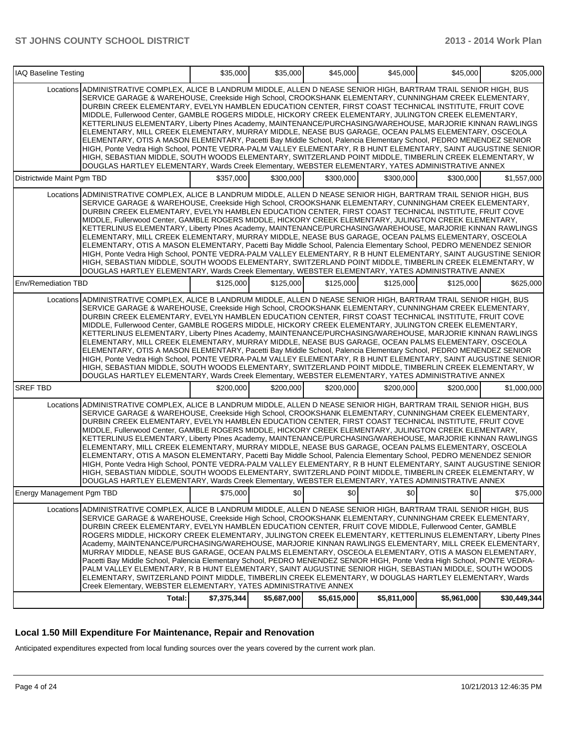| IAQ Baseline Testing       |                                                                                                                                                                                                                                                                                                                                                                                                                                                                                                                                                                                                                                                                                                                                                                                                                                                                                                                                                                                                                                                                                                                              | \$35,000    | \$35,000    | \$45,000    | \$45,000    | \$45,000    | \$205,000    |
|----------------------------|------------------------------------------------------------------------------------------------------------------------------------------------------------------------------------------------------------------------------------------------------------------------------------------------------------------------------------------------------------------------------------------------------------------------------------------------------------------------------------------------------------------------------------------------------------------------------------------------------------------------------------------------------------------------------------------------------------------------------------------------------------------------------------------------------------------------------------------------------------------------------------------------------------------------------------------------------------------------------------------------------------------------------------------------------------------------------------------------------------------------------|-------------|-------------|-------------|-------------|-------------|--------------|
|                            | Locations ADMINISTRATIVE COMPLEX, ALICE B LANDRUM MIDDLE, ALLEN D NEASE SENIOR HIGH, BARTRAM TRAIL SENIOR HIGH, BUS<br>SERVICE GARAGE & WAREHOUSE, Creekside High School, CROOKSHANK ELEMENTARY, CUNNINGHAM CREEK ELEMENTARY,<br>DURBIN CREEK ELEMENTARY, EVELYN HAMBLEN EDUCATION CENTER, FIRST COAST TECHNICAL INSTITUTE, FRUIT COVE<br>MIDDLE, Fullerwood Center, GAMBLE ROGERS MIDDLE, HICKORY CREEK ELEMENTARY, JULINGTON CREEK ELEMENTARY,<br>KETTERLINUS ELEMENTARY, Liberty Plnes Academy, MAINTENANCE/PURCHASING/WAREHOUSE, MARJORIE KINNAN RAWLINGS<br>ELEMENTARY, MILL CREEK ELEMENTARY, MURRAY MIDDLE, NEASE BUS GARAGE, OCEAN PALMS ELEMENTARY, OSCEOLA<br>ELEMENTARY, OTIS A MASON ELEMENTARY, Pacetti Bay Middle School, Palencia Elementary School, PEDRO MENENDEZ SENIOR<br>HIGH, Ponte Vedra High School, PONTE VEDRA-PALM VALLEY ELEMENTARY, R B HUNT ELEMENTARY, SAINT AUGUSTINE SENIOR<br>HIGH. SEBASTIAN MIDDLE. SOUTH WOODS ELEMENTARY. SWITZERLAND POINT MIDDLE. TIMBERLIN CREEK ELEMENTARY. W<br>DOUGLAS HARTLEY ELEMENTARY, Wards Creek Elementary, WEBSTER ELEMENTARY, YATES ADMINISTRATIVE ANNEX |             |             |             |             |             |              |
| Districtwide Maint Pgm TBD |                                                                                                                                                                                                                                                                                                                                                                                                                                                                                                                                                                                                                                                                                                                                                                                                                                                                                                                                                                                                                                                                                                                              | \$357,000   | \$300,000   | \$300,000   | \$300,000   | \$300,000   | \$1,557,000  |
|                            | Locations ADMINISTRATIVE COMPLEX, ALICE B LANDRUM MIDDLE, ALLEN D NEASE SENIOR HIGH, BARTRAM TRAIL SENIOR HIGH, BUS<br>SERVICE GARAGE & WAREHOUSE, Creekside High School, CROOKSHANK ELEMENTARY, CUNNINGHAM CREEK ELEMENTARY,<br>DURBIN CREEK ELEMENTARY, EVELYN HAMBLEN EDUCATION CENTER, FIRST COAST TECHNICAL INSTITUTE, FRUIT COVE<br>MIDDLE, Fullerwood Center, GAMBLE ROGERS MIDDLE, HICKORY CREEK ELEMENTARY, JULINGTON CREEK ELEMENTARY,<br>KETTERLINUS ELEMENTARY, Liberty PInes Academy, MAINTENANCE/PURCHASING/WAREHOUSE, MARJORIE KINNAN RAWLINGS<br>ELEMENTARY, MILL CREEK ELEMENTARY, MURRAY MIDDLE, NEASE BUS GARAGE, OCEAN PALMS ELEMENTARY, OSCEOLA<br>ELEMENTARY, OTIS A MASON ELEMENTARY, Pacetti Bay Middle School, Palencia Elementary School, PEDRO MENENDEZ SENIOR<br>HIGH, Ponte Vedra High School, PONTE VEDRA-PALM VALLEY ELEMENTARY, R B HUNT ELEMENTARY, SAINT AUGUSTINE SENIOR<br>HIGH, SEBASTIAN MIDDLE, SOUTH WOODS ELEMENTARY, SWITZERLAND POINT MIDDLE, TIMBERLIN CREEK ELEMENTARY, W<br>DOUGLAS HARTLEY ELEMENTARY, Wards Creek Elementary, WEBSTER ELEMENTARY, YATES ADMINISTRATIVE ANNEX |             |             |             |             |             |              |
| Env/Remediation TBD        |                                                                                                                                                                                                                                                                                                                                                                                                                                                                                                                                                                                                                                                                                                                                                                                                                                                                                                                                                                                                                                                                                                                              | \$125,000   | \$125,000   | \$125,000   | \$125,000   | \$125,000   | \$625,000    |
|                            | Locations ADMINISTRATIVE COMPLEX, ALICE B LANDRUM MIDDLE, ALLEN D NEASE SENIOR HIGH, BARTRAM TRAIL SENIOR HIGH, BUS<br>SERVICE GARAGE & WAREHOUSE, Creekside High School, CROOKSHANK ELEMENTARY, CUNNINGHAM CREEK ELEMENTARY,<br>DURBIN CREEK ELEMENTARY, EVELYN HAMBLEN EDUCATION CENTER, FIRST COAST TECHNICAL INSTITUTE, FRUIT COVE<br>MIDDLE, Fullerwood Center, GAMBLE ROGERS MIDDLE, HICKORY CREEK ELEMENTARY, JULINGTON CREEK ELEMENTARY,<br>KETTERLINUS ELEMENTARY, Liberty Plnes Academy, MAINTENANCE/PURCHASING/WAREHOUSE, MARJORIE KINNAN RAWLINGS<br>ELEMENTARY, MILL CREEK ELEMENTARY, MURRAY MIDDLE, NEASE BUS GARAGE, OCEAN PALMS ELEMENTARY, OSCEOLA<br>ELEMENTARY, OTIS A MASON ELEMENTARY, Pacetti Bay Middle School, Palencia Elementary School, PEDRO MENENDEZ SENIOR<br>HIGH, Ponte Vedra High School, PONTE VEDRA-PALM VALLEY ELEMENTARY, R B HUNT ELEMENTARY, SAINT AUGUSTINE SENIOR<br>HIGH, SEBASTIAN MIDDLE, SOUTH WOODS ELEMENTARY, SWITZERLAND POINT MIDDLE, TIMBERLIN CREEK ELEMENTARY, W<br>DOUGLAS HARTLEY ELEMENTARY, Wards Creek Elementary, WEBSTER ELEMENTARY, YATES ADMINISTRATIVE ANNEX |             |             |             |             |             |              |
| <b>SREF TBD</b>            |                                                                                                                                                                                                                                                                                                                                                                                                                                                                                                                                                                                                                                                                                                                                                                                                                                                                                                                                                                                                                                                                                                                              | \$200,000   | \$200,000   | \$200.000   | \$200,000   | \$200,000   | \$1,000,000  |
|                            | Locations ADMINISTRATIVE COMPLEX, ALICE B LANDRUM MIDDLE, ALLEN D NEASE SENIOR HIGH, BARTRAM TRAIL SENIOR HIGH, BUS<br>SERVICE GARAGE & WAREHOUSE, Creekside High School, CROOKSHANK ELEMENTARY, CUNNINGHAM CREEK ELEMENTARY,<br>DURBIN CREEK ELEMENTARY, EVELYN HAMBLEN EDUCATION CENTER, FIRST COAST TECHNICAL INSTITUTE, FRUIT COVE<br>MIDDLE, Fullerwood Center, GAMBLE ROGERS MIDDLE, HICKORY CREEK ELEMENTARY, JULINGTON CREEK ELEMENTARY,<br>KETTERLINUS ELEMENTARY, Liberty PInes Academy, MAINTENANCE/PURCHASING/WAREHOUSE, MARJORIE KINNAN RAWLINGS<br>ELEMENTARY. MILL CREEK ELEMENTARY. MURRAY MIDDLE. NEASE BUS GARAGE. OCEAN PALMS ELEMENTARY. OSCEOLA<br>ELEMENTARY, OTIS A MASON ELEMENTARY, Pacetti Bay Middle School, Palencia Elementary School, PEDRO MENENDEZ SENIOR<br>HIGH, Ponte Vedra High School, PONTE VEDRA-PALM VALLEY ELEMENTARY, R B HUNT ELEMENTARY, SAINT AUGUSTINE SENIOR<br>HIGH, SEBASTIAN MIDDLE, SOUTH WOODS ELEMENTARY, SWITZERLAND POINT MIDDLE, TIMBERLIN CREEK ELEMENTARY, W<br>DOUGLAS HARTLEY ELEMENTARY, Wards Creek Elementary, WEBSTER ELEMENTARY, YATES ADMINISTRATIVE ANNEX |             |             |             |             |             |              |
| Energy Management Pgm TBD  |                                                                                                                                                                                                                                                                                                                                                                                                                                                                                                                                                                                                                                                                                                                                                                                                                                                                                                                                                                                                                                                                                                                              | \$75,000    | \$0         | \$0         | \$0         | \$0         | \$75,000     |
|                            | Locations ADMINISTRATIVE COMPLEX, ALICE B LANDRUM MIDDLE, ALLEN D NEASE SENIOR HIGH, BARTRAM TRAIL SENIOR HIGH, BUS<br>SERVICE GARAGE & WAREHOUSE, Creekside High School, CROOKSHANK ELEMENTARY, CUNNINGHAM CREEK ELEMENTARY,<br>DURBIN CREEK ELEMENTARY, EVELYN HAMBLEN EDUCATION CENTER, FRUIT COVE MIDDLE, Fullerwood Center, GAMBLE<br>ROGERS MIDDLE, HICKORY CREEK ELEMENTARY, JULINGTON CREEK ELEMENTARY, KETTERLINUS ELEMENTARY, Liberty PInes<br> Academy, MAINTENANCE/PURCHASING/WAREHOUSE, MARJORIE KINNAN RAWLINGS ELEMENTARY, MILL CREEK ELEMENTARY, I<br>MURRAY MIDDLE, NEASE BUS GARAGE, OCEAN PALMS ELEMENTARY, OSCEOLA ELEMENTARY, OTIS A MASON ELEMENTARY,<br>Pacetti Bay Middle School, Palencia Elementary School, PEDRO MENENDEZ SENIOR HIGH, Ponte Vedra High School, PONTE VEDRA-<br>PALM VALLEY ELEMENTARY, R B HUNT ELEMENTARY, SAINT AUGUSTINE SENIOR HIGH, SEBASTIAN MIDDLE, SOUTH WOODS<br>ELEMENTARY, SWITZERLAND POINT MIDDLE, TIMBERLIN CREEK ELEMENTARY, W DOUGLAS HARTLEY ELEMENTARY, Wards<br>Creek Elementary, WEBSTER ELEMENTARY, YATES ADMINISTRATIVE ANNEX                              |             |             |             |             |             |              |
|                            | Total:                                                                                                                                                                                                                                                                                                                                                                                                                                                                                                                                                                                                                                                                                                                                                                                                                                                                                                                                                                                                                                                                                                                       | \$7,375,344 | \$5,687,000 | \$5,615,000 | \$5,811,000 | \$5,961,000 | \$30,449,344 |

#### **Local 1.50 Mill Expenditure For Maintenance, Repair and Renovation**

Anticipated expenditures expected from local funding sources over the years covered by the current work plan.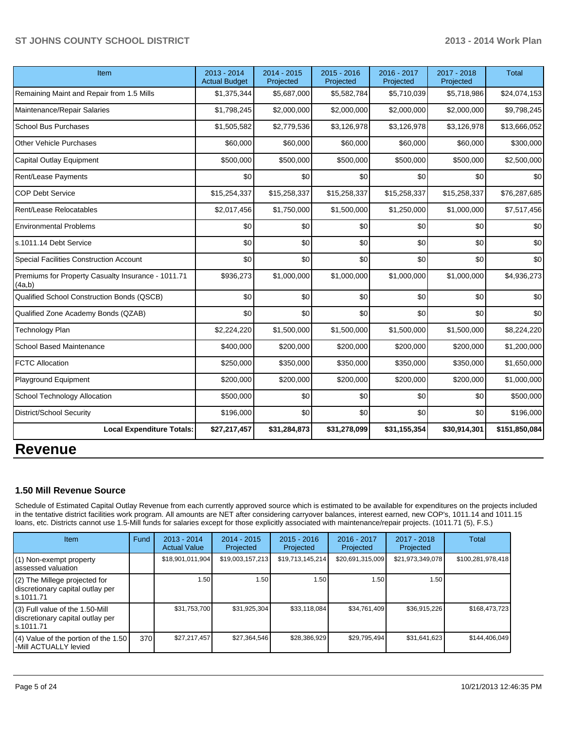| Item                                                         | 2013 - 2014<br><b>Actual Budget</b> | 2014 - 2015<br>Projected | 2015 - 2016<br>Projected | 2016 - 2017<br>Projected | 2017 - 2018<br>Projected | <b>Total</b>  |
|--------------------------------------------------------------|-------------------------------------|--------------------------|--------------------------|--------------------------|--------------------------|---------------|
| Remaining Maint and Repair from 1.5 Mills                    | \$1,375,344                         | \$5,687,000              | \$5,582,784              | \$5,710,039              | \$5,718,986              | \$24,074,153  |
| Maintenance/Repair Salaries                                  | \$1,798,245                         | \$2,000,000              | \$2,000,000              | \$2,000,000              | \$2,000,000              | \$9,798,245   |
| <b>School Bus Purchases</b>                                  | \$1,505,582                         | \$2,779,536              | \$3,126,978              | \$3,126,978              | \$3,126,978              | \$13,666,052  |
| <b>Other Vehicle Purchases</b>                               | \$60,000                            | \$60,000                 | \$60,000                 | \$60,000                 | \$60,000                 | \$300,000     |
| Capital Outlay Equipment                                     | \$500,000                           | \$500,000                | \$500,000                | \$500,000                | \$500,000                | \$2,500,000   |
| Rent/Lease Payments                                          | \$0                                 | \$0                      | \$0                      | \$0                      | \$0                      | \$0           |
| <b>COP Debt Service</b>                                      | \$15,254,337                        | \$15,258,337             | \$15,258,337             | \$15,258,337             | \$15,258,337             | \$76,287,685  |
| Rent/Lease Relocatables                                      | \$2,017,456                         | \$1,750,000              | \$1,500,000              | \$1,250,000              | \$1,000,000              | \$7,517,456   |
| <b>Environmental Problems</b>                                | \$0                                 | \$0                      | \$0                      | \$0                      | \$0                      | \$0           |
| s.1011.14 Debt Service                                       | \$0                                 | \$0                      | \$0                      | \$0                      | \$0                      | \$0           |
| Special Facilities Construction Account                      | \$0                                 | \$0                      | \$0                      | \$0                      | \$0                      | \$0           |
| Premiums for Property Casualty Insurance - 1011.71<br>(4a,b) | \$936,273                           | \$1,000,000              | \$1,000,000              | \$1,000,000              | \$1,000,000              | \$4,936,273   |
| Qualified School Construction Bonds (QSCB)                   | \$0                                 | \$0                      | \$0                      | \$0                      | \$0                      | \$0           |
| Qualified Zone Academy Bonds (QZAB)                          | \$0                                 | \$0                      | \$0                      | \$0                      | \$0                      | \$0           |
| Technology Plan                                              | \$2,224,220                         | \$1,500,000              | \$1,500,000              | \$1,500,000              | \$1,500,000              | \$8,224,220   |
| <b>School Based Maintenance</b>                              | \$400,000                           | \$200,000                | \$200,000                | \$200,000                | \$200,000                | \$1,200,000   |
| <b>FCTC Allocation</b>                                       | \$250,000                           | \$350,000                | \$350,000                | \$350,000                | \$350,000                | \$1,650,000   |
| Playground Equipment                                         | \$200,000                           | \$200,000                | \$200,000                | \$200,000                | \$200,000                | \$1,000,000   |
| School Technology Allocation                                 | \$500,000                           | \$0                      | \$0                      | \$0                      | \$0                      | \$500,000     |
| District/School Security                                     | \$196,000                           | \$0                      | \$0                      | \$0                      | \$0                      | \$196,000     |
| <b>Local Expenditure Totals:</b>                             | \$27,217,457                        | \$31,284,873             | \$31,278,099             | \$31,155,354             | \$30,914,301             | \$151,850,084 |
| <b>Revenue</b>                                               |                                     |                          |                          |                          |                          |               |

# **1.50 Mill Revenue Source**

Schedule of Estimated Capital Outlay Revenue from each currently approved source which is estimated to be available for expenditures on the projects included in the tentative district facilities work program. All amounts are NET after considering carryover balances, interest earned, new COP's, 1011.14 and 1011.15 loans, etc. Districts cannot use 1.5-Mill funds for salaries except for those explicitly associated with maintenance/repair projects. (1011.71 (5), F.S.)

| Item                                                                              | Fund | $2013 - 2014$<br><b>Actual Value</b> | $2014 - 2015$<br>Projected | $2015 - 2016$<br>Projected | $2016 - 2017$<br>Projected | 2017 - 2018<br>Projected | Total             |
|-----------------------------------------------------------------------------------|------|--------------------------------------|----------------------------|----------------------------|----------------------------|--------------------------|-------------------|
| (1) Non-exempt property<br>lassessed valuation                                    |      | \$18,901,011,904                     | \$19,003,157,213           | \$19,713,145,214           | \$20,691,315,009           | \$21,973,349,078         | \$100,281,978,418 |
| (2) The Millege projected for<br>discretionary capital outlay per<br>ls.1011.71   |      | 1.50                                 | 1.50 l                     | 1.50 <sub>1</sub>          | 1.50                       | 1.50                     |                   |
| (3) Full value of the 1.50-Mill<br>discretionary capital outlay per<br>ls.1011.71 |      | \$31,753,700                         | \$31,925,304               | \$33.118.084               | \$34,761,409               | \$36,915,226             | \$168,473,723     |
| (4) Value of the portion of the 1.50<br>l-Mill ACTUALLY levied                    | 370  | \$27,217,457                         | \$27,364,546               | \$28,386,929               | \$29.795.494               | \$31,641,623             | \$144.406.049     |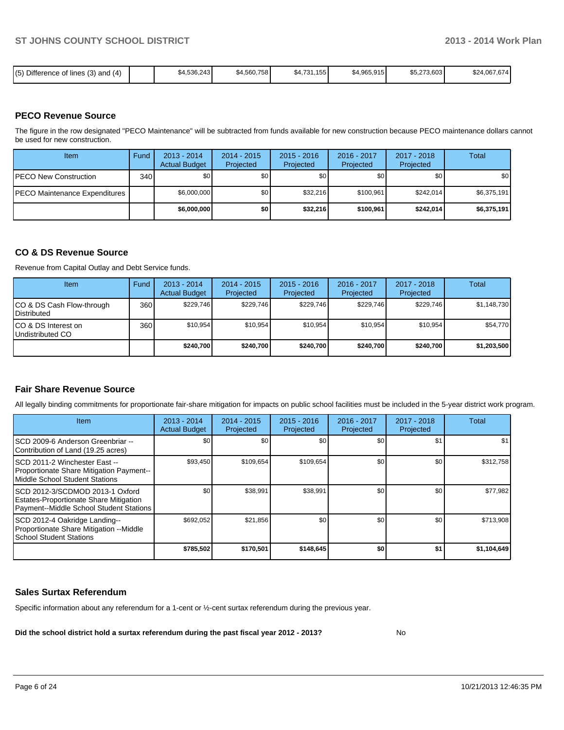|  | $(5)$ Difference of lines (3) and (4) |  | \$4,536,243 | \$4,560,758 | \$4,731,155 | \$4,965,915 | \$5,273,603 | \$24,067,674 |
|--|---------------------------------------|--|-------------|-------------|-------------|-------------|-------------|--------------|
|--|---------------------------------------|--|-------------|-------------|-------------|-------------|-------------|--------------|

#### **PECO Revenue Source**

The figure in the row designated "PECO Maintenance" will be subtracted from funds available for new construction because PECO maintenance dollars cannot be used for new construction.

| Item                                 | Fund | $2013 - 2014$<br><b>Actual Budget</b> | $2014 - 2015$<br>Projected | $2015 - 2016$<br>Projected | $2016 - 2017$<br>Projected | $2017 - 2018$<br>Projected | Total       |
|--------------------------------------|------|---------------------------------------|----------------------------|----------------------------|----------------------------|----------------------------|-------------|
| <b>IPECO New Construction</b>        | 340  | \$O I                                 | \$0 <sub>1</sub>           | \$0                        | \$0                        | \$0                        | \$0         |
| <b>PECO Maintenance Expenditures</b> |      | \$6,000,000                           | \$0 <sub>1</sub>           | \$32,216                   | \$100.961                  | \$242.014                  | \$6,375,191 |
|                                      |      | \$6,000,000                           | \$0                        | \$32,216                   | \$100.961                  | \$242,014                  | \$6,375,191 |

#### **CO & DS Revenue Source**

Revenue from Capital Outlay and Debt Service funds.

| Item                                               | Fund | $2013 - 2014$<br><b>Actual Budget</b> | $2014 - 2015$<br>Projected | $2015 - 2016$<br>Projected | $2016 - 2017$<br>Projected | $2017 - 2018$<br>Projected | Total       |
|----------------------------------------------------|------|---------------------------------------|----------------------------|----------------------------|----------------------------|----------------------------|-------------|
| ICO & DS Cash Flow-through<br><b>I</b> Distributed | 360  | \$229.746                             | \$229.746                  | \$229.746                  | \$229.746                  | \$229,746                  | \$1,148,730 |
| ICO & DS Interest on<br>Undistributed CO           | 360  | \$10.954                              | \$10,954                   | \$10.954                   | \$10,954                   | \$10.954                   | \$54,770    |
|                                                    |      | \$240.700                             | \$240,700                  | \$240,700                  | \$240.700                  | \$240,700                  | \$1,203,500 |

### **Fair Share Revenue Source**

All legally binding commitments for proportionate fair-share mitigation for impacts on public school facilities must be included in the 5-year district work program.

| <b>Item</b>                                                                                                           | $2013 - 2014$<br><b>Actual Budget</b> | $2014 - 2015$<br>Projected | $2015 - 2016$<br>Projected | $2016 - 2017$<br>Projected | $2017 - 2018$<br>Projected | Total       |
|-----------------------------------------------------------------------------------------------------------------------|---------------------------------------|----------------------------|----------------------------|----------------------------|----------------------------|-------------|
| ISCD 2009-6 Anderson Greenbriar --<br>Contribution of Land (19.25 acres)                                              | \$0                                   | \$0                        | \$0                        | \$0                        | \$1                        | \$1         |
| ISCD 2011-2 Winchester East --<br>Proportionate Share Mitigation Payment--<br>Middle School Student Stations          | \$93,450                              | \$109,654                  | \$109,654                  | \$0                        | \$0                        | \$312,758   |
| ISCD 2012-3/SCDMOD 2013-1 Oxford<br>Estates-Proportionate Share Mitigation<br>Payment--Middle School Student Stations | \$0                                   | \$38,991                   | \$38,991                   | \$0                        | \$0                        | \$77.982    |
| SCD 2012-4 Oakridge Landing--<br>Proportionate Share Mitigation --Middle<br><b>School Student Stations</b>            | \$692.052                             | \$21,856                   | \$0                        | \$0                        | \$0                        | \$713,908   |
|                                                                                                                       | \$785,502                             | \$170,501                  | \$148,645                  | \$0                        | \$1                        | \$1,104,649 |

#### **Sales Surtax Referendum**

Specific information about any referendum for a 1-cent or ½-cent surtax referendum during the previous year.

**Did the school district hold a surtax referendum during the past fiscal year 2012 - 2013?**

No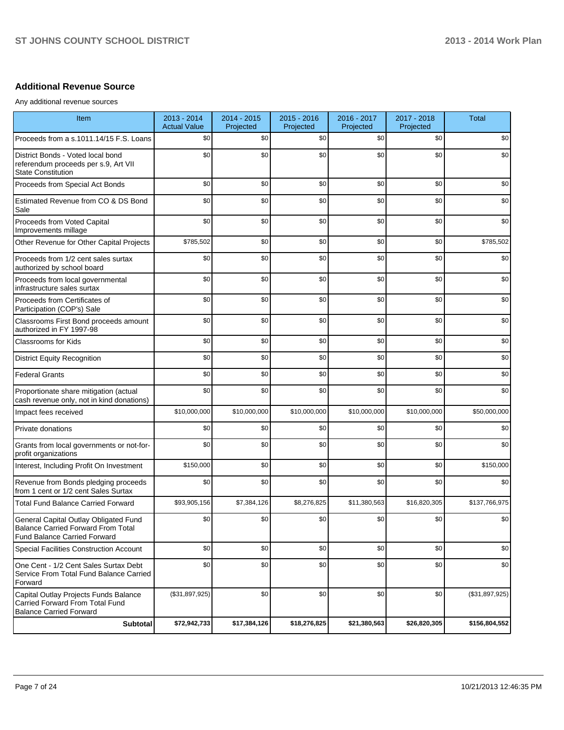### **Additional Revenue Source**

Any additional revenue sources

| Item                                                                                                                      | 2013 - 2014<br><b>Actual Value</b> | 2014 - 2015<br>Projected | 2015 - 2016<br>Projected | 2016 - 2017<br>Projected | 2017 - 2018<br>Projected | <b>Total</b>   |
|---------------------------------------------------------------------------------------------------------------------------|------------------------------------|--------------------------|--------------------------|--------------------------|--------------------------|----------------|
| Proceeds from a s.1011.14/15 F.S. Loans                                                                                   | \$0                                | \$0                      | \$0                      | \$0                      | \$0                      | \$0            |
| District Bonds - Voted local bond<br>referendum proceeds per s.9, Art VII<br><b>State Constitution</b>                    | \$0                                | \$0                      | \$0                      | \$0                      | \$0                      | \$0            |
| Proceeds from Special Act Bonds                                                                                           | \$0                                | \$0                      | \$0                      | \$0                      | \$0                      | \$0            |
| Estimated Revenue from CO & DS Bond<br>Sale                                                                               | \$0                                | \$0                      | \$0                      | \$0                      | \$0                      | \$0            |
| Proceeds from Voted Capital<br>Improvements millage                                                                       | \$0                                | \$0                      | \$0                      | \$0                      | \$0                      | \$0            |
| Other Revenue for Other Capital Projects                                                                                  | \$785,502                          | \$0                      | \$0                      | \$0                      | \$0                      | \$785,502      |
| Proceeds from 1/2 cent sales surtax<br>authorized by school board                                                         | \$0                                | \$0                      | \$0                      | \$0                      | \$0                      | \$0            |
| Proceeds from local governmental<br>infrastructure sales surtax                                                           | \$0                                | \$0                      | \$0                      | \$0                      | \$0                      | \$0            |
| Proceeds from Certificates of<br>Participation (COP's) Sale                                                               | \$0                                | \$0                      | \$0                      | \$0                      | \$0                      | \$0            |
| Classrooms First Bond proceeds amount<br>authorized in FY 1997-98                                                         | \$0                                | \$0                      | \$0                      | \$0                      | \$0                      | \$0            |
| Classrooms for Kids                                                                                                       | \$0                                | \$0                      | \$0                      | \$0                      | \$0                      | \$0            |
| <b>District Equity Recognition</b>                                                                                        | \$0                                | \$0                      | \$0                      | \$0                      | \$0                      | \$0            |
| <b>Federal Grants</b>                                                                                                     | \$0                                | \$0                      | \$0                      | \$0                      | \$0                      | \$0            |
| Proportionate share mitigation (actual<br>cash revenue only, not in kind donations)                                       | \$0                                | \$0                      | \$0                      | \$0                      | \$0                      | \$0            |
| Impact fees received                                                                                                      | \$10,000,000                       | \$10,000,000             | \$10,000,000             | \$10,000,000             | \$10,000,000             | \$50,000,000   |
| Private donations                                                                                                         | \$0                                | \$0                      | \$0                      | \$0                      | \$0                      | \$0            |
| Grants from local governments or not-for-<br>profit organizations                                                         | \$0                                | \$0                      | \$0                      | \$0                      | \$0                      | \$0            |
| Interest, Including Profit On Investment                                                                                  | \$150,000                          | \$0                      | \$0                      | \$0                      | \$0                      | \$150,000      |
| Revenue from Bonds pledging proceeds<br>from 1 cent or 1/2 cent Sales Surtax                                              | \$0                                | \$0                      | \$0                      | \$0                      | \$0                      | \$0            |
| <b>Total Fund Balance Carried Forward</b>                                                                                 | \$93,905,156                       | \$7,384,126              | \$8,276,825              | \$11,380,563             | \$16,820,305             | \$137,766,975  |
| General Capital Outlay Obligated Fund<br><b>Balance Carried Forward From Total</b><br><b>Fund Balance Carried Forward</b> | \$0                                | \$0                      | \$0                      | \$0                      | \$0                      | \$0            |
| Special Facilities Construction Account                                                                                   | \$0                                | \$0                      | \$0                      | \$0                      | \$0                      | \$0            |
| One Cent - 1/2 Cent Sales Surtax Debt<br>Service From Total Fund Balance Carried<br>Forward                               | \$0                                | \$0                      | \$0                      | \$0                      | \$0                      | \$0            |
| Capital Outlay Projects Funds Balance<br>Carried Forward From Total Fund<br><b>Balance Carried Forward</b>                | (\$31,897,925)                     | \$0                      | \$0                      | \$0                      | \$0                      | (\$31,897,925) |
| <b>Subtotal</b>                                                                                                           | \$72,942,733                       | \$17,384,126             | \$18,276,825             | \$21,380,563             | \$26,820,305             | \$156,804,552  |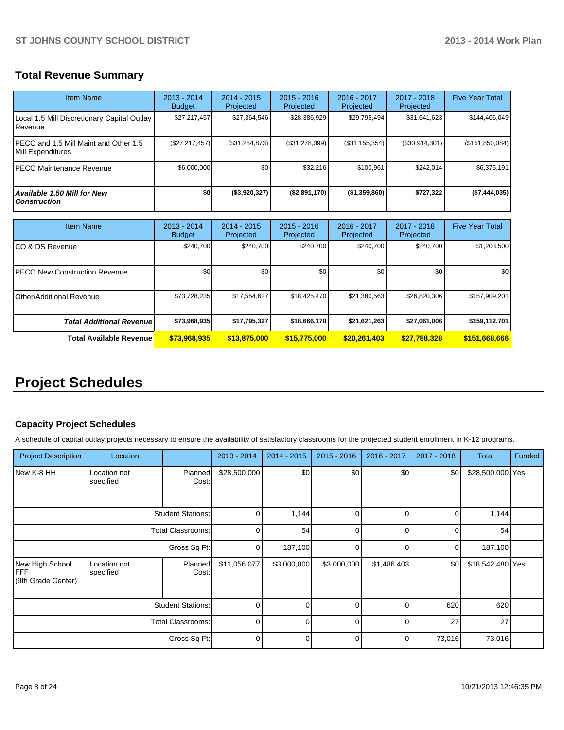# **Total Revenue Summary**

| <b>Item Name</b>                                            | $2013 - 2014$<br><b>Budget</b> | $2014 - 2015$<br>Projected | $2015 - 2016$<br>Projected | $2016 - 2017$<br>Projected | $2017 - 2018$<br>Projected | <b>Five Year Total</b> |
|-------------------------------------------------------------|--------------------------------|----------------------------|----------------------------|----------------------------|----------------------------|------------------------|
| Local 1.5 Mill Discretionary Capital Outlay<br>Revenue      | \$27,217,457                   | \$27,364,546               | \$28,386,929               | \$29,795,494               | \$31,641,623               | \$144,406,049          |
| IPECO and 1.5 Mill Maint and Other 1.5<br>Mill Expenditures | (\$27, 217, 457)               | (\$31,284,873)             | (\$31,278,099)             | (S31, 155, 354)            | (\$30,914,301)             | (\$151,850,084)        |
| IPECO Maintenance Revenue                                   | \$6,000,000                    | \$0                        | \$32,216                   | \$100,961                  | \$242.014                  | \$6,375,191            |
| <b>Available 1.50 Mill for New</b><br><b>Construction</b>   | \$0                            | $($ \$3,920,327)           | (\$2,891,170)              | ( \$1,359,860)             | \$727,322                  | (\$7,444,035)          |

| <b>Item Name</b>                 | $2013 - 2014$<br><b>Budget</b> | $2014 - 2015$<br>Projected | $2015 - 2016$<br>Projected | $2016 - 2017$<br>Projected | $2017 - 2018$<br>Projected | <b>Five Year Total</b> |
|----------------------------------|--------------------------------|----------------------------|----------------------------|----------------------------|----------------------------|------------------------|
| ICO & DS Revenue                 | \$240,700                      | \$240,700                  | \$240.700                  | \$240,700                  | \$240,700                  | \$1,203,500            |
| IPECO New Construction Revenue   | \$0 <sub>1</sub>               | \$0                        | \$0                        | \$0                        | \$0                        | \$0 <sub>1</sub>       |
| <b>Other/Additional Revenue</b>  | \$73,728,235                   | \$17,554,627               | \$18,425,470               | \$21,380,563               | \$26,820,306               | \$157,909,201          |
| <b>Total Additional Revenuel</b> | \$73,968,935                   | \$17,795,327               | \$18,666,170               | \$21,621,263               | \$27,061,006               | \$159,112,701          |
| Total Available Revenue          | \$73,968,935                   | \$13,875,000               | \$15,775,000               | \$20,261,403               | \$27,788,328               | \$151,668,666          |

# **Project Schedules**

# **Capacity Project Schedules**

A schedule of capital outlay projects necessary to ensure the availability of satisfactory classrooms for the projected student enrollment in K-12 programs.

| <b>Project Description</b>                          | Location                  |                          | 2013 - 2014  | $2014 - 2015$ | $2015 - 2016$ | 2016 - 2017 | 2017 - 2018 | <b>Total</b>     | <b>Funded</b> |
|-----------------------------------------------------|---------------------------|--------------------------|--------------|---------------|---------------|-------------|-------------|------------------|---------------|
| New K-8 HH                                          | Location not<br>specified | Planned<br>Cost:         | \$28,500,000 | \$0           | \$0           | \$0         | \$0         | \$28,500,000 Yes |               |
|                                                     |                           | <b>Student Stations:</b> | 0            | 1,144         | 0             |             | ŋ           | 1,144            |               |
|                                                     |                           | <b>Total Classrooms:</b> | $\Omega$     | 54            | 0             |             |             | 54               |               |
|                                                     |                           | Gross Sq Ft:             | 0            | 187,100       | 0             | ⋂           | 0           | 187,100          |               |
| New High School<br><b>FFF</b><br>(9th Grade Center) | Location not<br>specified | Planned<br>Cost:         | \$11,056,077 | \$3,000,000   | \$3,000,000   | \$1,486,403 | \$0         | \$18,542,480 Yes |               |
|                                                     | <b>Student Stations:</b>  |                          | $\Omega$     |               | U             |             | 620         | 620              |               |
|                                                     | <b>Total Classrooms:</b>  |                          | $\Omega$     | n             | O             |             | 27          | 27               |               |
|                                                     |                           | Gross Sq Ft:             | $\Omega$     | U             | $\Omega$      | n           | 73,016      | 73,016           |               |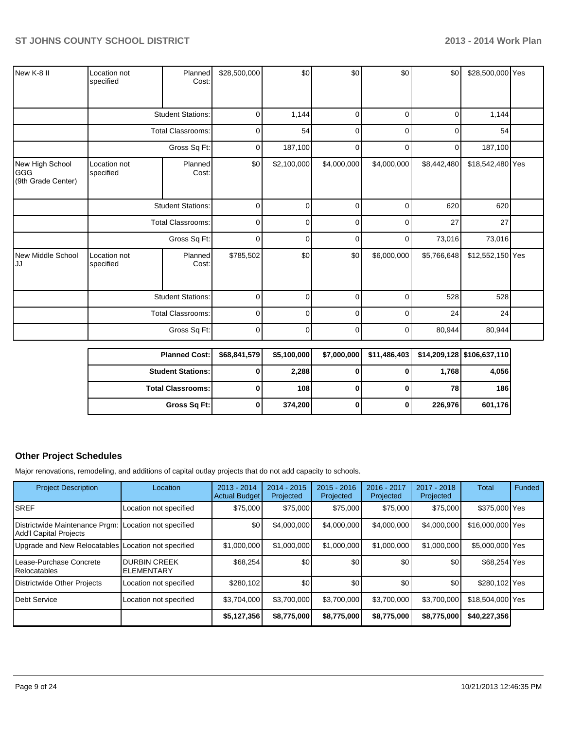| New K-8 II                                    | Location not<br>specified | Planned<br>Cost:         | \$28,500,000 | \$0         | \$0         | \$0         | \$0         | \$28,500,000 Yes |  |
|-----------------------------------------------|---------------------------|--------------------------|--------------|-------------|-------------|-------------|-------------|------------------|--|
|                                               |                           | <b>Student Stations:</b> | 0            | 1,144       | $\Omega$    | 0           | $\Omega$    | 1,144            |  |
|                                               |                           | <b>Total Classrooms:</b> | $\mathbf 0$  | 54          | $\Omega$    | C           | $\Omega$    | 54               |  |
|                                               |                           | Gross Sq Ft:             | 0            | 187,100     | 0           | 0           | 0           | 187,100          |  |
| New High School<br> GGG<br>(9th Grade Center) | Location not<br>specified | Planned<br>Cost:         | \$0          | \$2,100,000 | \$4,000,000 | \$4,000,000 | \$8,442,480 | \$18,542,480 Yes |  |
|                                               |                           | <b>Student Stations:</b> | $\mathbf 0$  | 0           | $\mathbf 0$ | 0           | 620         | 620              |  |
|                                               |                           | <b>Total Classrooms:</b> | $\mathbf 0$  | 0           | 0           | 0           | 27          | 27               |  |
|                                               |                           | Gross Sq Ft:             | 0            | 0           | 0           | 0           | 73,016      | 73,016           |  |
| New Middle School<br>lJJ                      | Location not<br>specified | Planned<br>Cost:         | \$785,502    | \$0         | \$0         | \$6,000,000 | \$5,766,648 | \$12,552,150 Yes |  |
|                                               | <b>Student Stations:</b>  |                          | 0            | $\Omega$    | $\Omega$    | 0           | 528         | 528              |  |
|                                               |                           | <b>Total Classrooms:</b> | 0            | 0           | 0           | C           | 24          | 24               |  |
|                                               |                           | Gross Sq Ft:             | 0            | $\Omega$    | $\mathbf 0$ | 0           | 80,944      | 80,944           |  |

| <b>Planned Cost:</b>       | \$68,841,579 | \$5,100,000 | \$7,000,000 | \$11,486,403 |         | \$14,209,128 \$106,637,110 |
|----------------------------|--------------|-------------|-------------|--------------|---------|----------------------------|
| <b>Student Stations:</b>   |              | 2,288       |             |              | 1,768   | 4,056                      |
| <b>Total Classrooms: I</b> |              | 108         |             |              | 78      | 186                        |
| Gross Sq Ft:               |              | 374.200     |             |              | 226,976 | 601,176                    |

# **Other Project Schedules**

Major renovations, remodeling, and additions of capital outlay projects that do not add capacity to schools.

| <b>Project Description</b>                                                             | Location                                 | $2013 - 2014$<br><b>Actual Budget</b> | $2014 - 2015$<br>Projected | $2015 - 2016$<br>Projected | 2016 - 2017<br>Projected | 2017 - 2018<br>Projected | Total            | Funded |
|----------------------------------------------------------------------------------------|------------------------------------------|---------------------------------------|----------------------------|----------------------------|--------------------------|--------------------------|------------------|--------|
| <b>SREF</b>                                                                            | Location not specified                   | \$75,000                              | \$75,000                   | \$75,000                   | \$75,000                 | \$75,000                 | \$375,000 Yes    |        |
| Districtwide Maintenance Prgm: Location not specified<br><b>Add'I Capital Projects</b> |                                          | \$0                                   | \$4,000,000                | \$4,000,000                | \$4,000,000              | \$4,000,000              | \$16,000,000 Yes |        |
| Upgrade and New Relocatables Location not specified                                    |                                          | \$1,000,000                           | \$1,000,000                | \$1,000,000                | \$1,000,000              | \$1,000,000              | \$5,000,000 Yes  |        |
| Lease-Purchase Concrete<br><b>Relocatables</b>                                         | <b>DURBIN CREEK</b><br><b>ELEMENTARY</b> | \$68,254                              | \$0                        | \$0                        | \$0                      | \$0                      | \$68,254 Yes     |        |
| Districtwide Other Projects                                                            | Location not specified                   | \$280,102                             | \$0                        | \$0                        | \$0                      | \$0                      | \$280.102 Yes    |        |
| <b>Debt Service</b>                                                                    | Location not specified                   | \$3.704.000                           | \$3,700,000                | \$3.700.000                | \$3.700.000              | \$3.700.000              | \$18,504,000 Yes |        |
|                                                                                        |                                          | \$5,127,356                           | \$8,775,000                | \$8,775,000                | \$8,775,000              | \$8,775,000              | \$40,227,356     |        |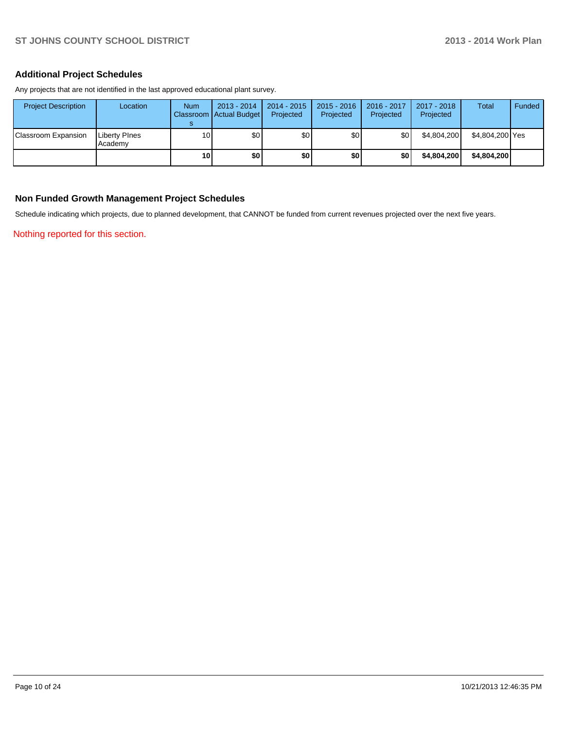### **Additional Project Schedules**

Any projects that are not identified in the last approved educational plant survey.

| <b>Project Description</b> | Location                 | <b>Num</b>      | $2013 - 2014$<br>Classroom   Actual Budget | 2014 - 2015<br>Projected | $2015 - 2016$<br>Projected | 2016 - 2017<br>Projected | 2017 - 2018<br>Projected | Total           | Funded |
|----------------------------|--------------------------|-----------------|--------------------------------------------|--------------------------|----------------------------|--------------------------|--------------------------|-----------------|--------|
| Classroom Expansion        | Liberty Pines<br>Academy | 10 <sup>1</sup> | \$0                                        | \$0                      | \$0                        | \$0                      | \$4,804,200              | \$4,804,200 Yes |        |
|                            |                          | 10 <sup>1</sup> | \$0                                        | \$0                      | \$0                        | \$0                      | \$4,804,200              | \$4.804.200     |        |

#### **Non Funded Growth Management Project Schedules**

Schedule indicating which projects, due to planned development, that CANNOT be funded from current revenues projected over the next five years.

Nothing reported for this section.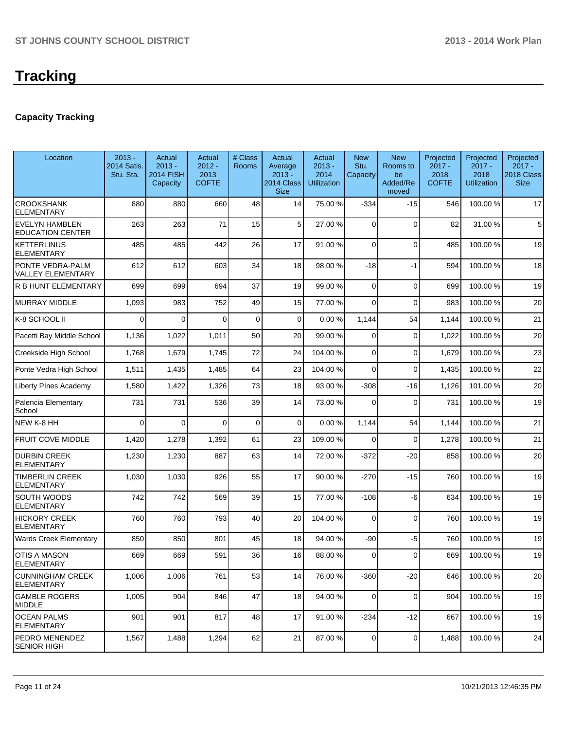# **Capacity Tracking**

| Location                                         | $2013 -$<br><b>2014 Satis.</b><br>Stu. Sta. | Actual<br>$2013 -$<br>2014 FISH<br>Capacity | Actual<br>$2012 -$<br>2013<br><b>COFTE</b> | # Class<br><b>Rooms</b> | Actual<br>Average<br>$2013 -$<br>2014 Class<br><b>Size</b> | Actual<br>$2013 -$<br>2014<br><b>Utilization</b> | <b>New</b><br>Stu.<br>Capacity | <b>New</b><br>Rooms to<br>be<br>Added/Re<br>moved | Projected<br>$2017 -$<br>2018<br><b>COFTE</b> | Projected<br>$2017 -$<br>2018<br><b>Utilization</b> | Projected<br>$2017 -$<br>2018 Class<br><b>Size</b> |
|--------------------------------------------------|---------------------------------------------|---------------------------------------------|--------------------------------------------|-------------------------|------------------------------------------------------------|--------------------------------------------------|--------------------------------|---------------------------------------------------|-----------------------------------------------|-----------------------------------------------------|----------------------------------------------------|
| <b>CROOKSHANK</b><br><b>ELEMENTARY</b>           | 880                                         | 880                                         | 660                                        | 48                      | 14                                                         | 75.00 %                                          | $-334$                         | $-15$                                             | 546                                           | 100.00%                                             | 17                                                 |
| <b>EVELYN HAMBLEN</b><br><b>EDUCATION CENTER</b> | 263                                         | 263                                         | 71                                         | 15                      | 5                                                          | 27.00 %                                          | 0                              | $\Omega$                                          | 82                                            | 31.00%                                              | 5                                                  |
| <b>KETTERLINUS</b><br><b>ELEMENTARY</b>          | 485                                         | 485                                         | 442                                        | 26                      | 17                                                         | 91.00 %                                          | $\Omega$                       | $\Omega$                                          | 485                                           | 100.00%                                             | 19                                                 |
| PONTE VEDRA-PALM<br><b>VALLEY ELEMENTARY</b>     | 612                                         | 612                                         | 603                                        | 34                      | 18                                                         | 98.00 %                                          | $-18$                          | $-1$                                              | 594                                           | 100.00%                                             | 18                                                 |
| R B HUNT ELEMENTARY                              | 699                                         | 699                                         | 694                                        | 37                      | 19                                                         | 99.00 %                                          | $\Omega$                       | $\Omega$                                          | 699                                           | 100.00%                                             | 19                                                 |
| MURRAY MIDDLE                                    | 1,093                                       | 983                                         | 752                                        | 49                      | 15                                                         | 77.00 %                                          | $\overline{0}$                 | $\Omega$                                          | 983                                           | 100.00%                                             | 20                                                 |
| IK-8 SCHOOL II                                   | $\Omega$                                    | 0                                           | 0                                          | $\mathbf 0$             | $\mathbf 0$                                                | 0.00%                                            | 1,144                          | 54                                                | 1,144                                         | 100.00%                                             | 21                                                 |
| Pacetti Bay Middle School                        | 1,136                                       | 1,022                                       | 1,011                                      | 50                      | 20                                                         | 99.00 %                                          | $\Omega$                       | $\Omega$                                          | 1,022                                         | 100.00%                                             | 20                                                 |
| Creekside High School                            | 1,768                                       | 1,679                                       | 1,745                                      | 72                      | 24                                                         | 104.00%                                          | $\overline{0}$                 | $\Omega$                                          | 1,679                                         | 100.00%                                             | 23                                                 |
| Ponte Vedra High School                          | 1,511                                       | 1,435                                       | 1,485                                      | 64                      | 23                                                         | 104.00%                                          | $\overline{0}$                 | $\Omega$                                          | 1,435                                         | 100.00%                                             | 22                                                 |
| <b>Liberty PInes Academy</b>                     | 1,580                                       | 1,422                                       | 1,326                                      | 73                      | 18                                                         | 93.00 %                                          | $-308$                         | $-16$                                             | 1,126                                         | 101.00%                                             | 20                                                 |
| Palencia Elementary<br>School                    | 731                                         | 731                                         | 536                                        | 39                      | 14                                                         | 73.00 %                                          | $\Omega$                       | $\Omega$                                          | 731                                           | 100.00%                                             | 19                                                 |
| NEW K-8 HH                                       | $\Omega$                                    | 0                                           | 0                                          | $\mathbf 0$             | $\Omega$                                                   | 0.00%                                            | 1,144                          | 54                                                | 1,144                                         | 100.00%                                             | 21                                                 |
| <b>FRUIT COVE MIDDLE</b>                         | 1,420                                       | 1,278                                       | 1,392                                      | 61                      | 23                                                         | 109.00 %                                         | $\Omega$                       | $\Omega$                                          | 1,278                                         | 100.00%                                             | 21                                                 |
| <b>DURBIN CREEK</b><br><b>ELEMENTARY</b>         | 1,230                                       | 1,230                                       | 887                                        | 63                      | 14                                                         | 72.00 %                                          | $-372$                         | $-20$                                             | 858                                           | 100.00%                                             | 20                                                 |
| <b>TIMBERLIN CREEK</b><br><b>ELEMENTARY</b>      | 1,030                                       | 1,030                                       | 926                                        | 55                      | 17                                                         | 90.00 %                                          | $-270$                         | $-15$                                             | 760                                           | 100.00%                                             | 19                                                 |
| SOUTH WOODS<br><b>ELEMENTARY</b>                 | 742                                         | 742                                         | 569                                        | 39                      | 15                                                         | 77.00 %                                          | $-108$                         | $-6$                                              | 634                                           | 100.00%                                             | 19                                                 |
| <b>HICKORY CREEK</b><br><b>ELEMENTARY</b>        | 760                                         | 760                                         | 793                                        | 40                      | 20                                                         | 104.00%                                          | $\mathbf 0$                    | $\Omega$                                          | 760                                           | 100.00%                                             | 19                                                 |
| <b>Wards Creek Elementary</b>                    | 850                                         | 850                                         | 801                                        | 45                      | 18                                                         | 94.00 %                                          | $-90$                          | -5                                                | 760                                           | 100.00%                                             | 19                                                 |
| OTIS A MASON<br><b>ELEMENTARY</b>                | 669                                         | 669                                         | 591                                        | 36                      | 16                                                         | 88.00 %                                          | 0                              | $\Omega$                                          | 669                                           | 100.00%                                             | 19                                                 |
| CUNNINGHAM CREEK<br>ELEMENTARY                   | 1,006                                       | 1,006                                       | 761                                        | 53                      | 14                                                         | 76.00 %                                          | $-360$                         | $-20$                                             | 646                                           | 100.00%                                             | 20                                                 |
| <b>GAMBLE ROGERS</b><br>MIDDLE                   | 1,005                                       | 904                                         | 846                                        | 47                      | 18                                                         | 94.00 %                                          | $\overline{0}$                 | 0                                                 | 904                                           | 100.00%                                             | 19                                                 |
| IOCEAN PALMS<br>ELEMENTARY                       | 901                                         | 901                                         | 817                                        | 48                      | 17                                                         | 91.00 %                                          | $-234$                         | $-12$                                             | 667                                           | 100.00 %                                            | 19                                                 |
| <b>PEDRO MENENDEZ</b><br><b>SENIOR HIGH</b>      | 1,567                                       | 1,488                                       | 1,294                                      | 62                      | 21                                                         | 87.00 %                                          | 0                              | $\overline{0}$                                    | 1,488                                         | 100.00%                                             | 24                                                 |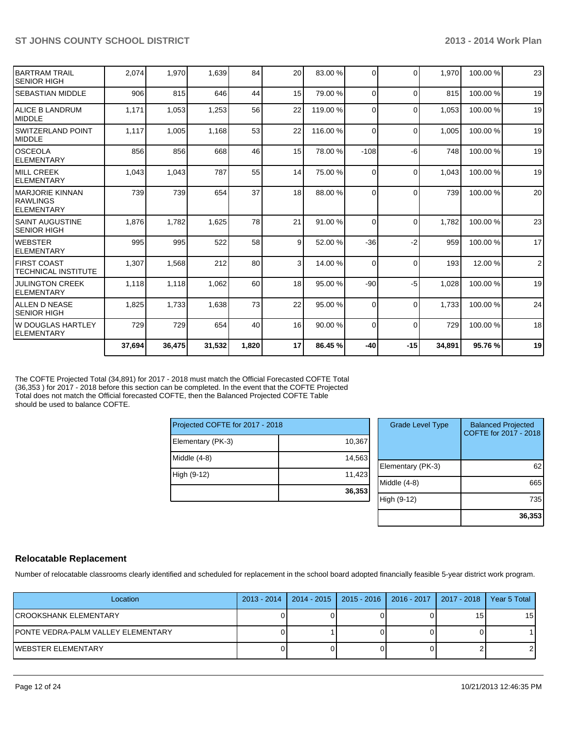|                                                            | 37,694 | 36,475 | 31,532 | 1,820 | 17 <sup>1</sup> | 86.45 %  | $-40$    | $-15$    | 34,891 | 95.76%  | 19             |
|------------------------------------------------------------|--------|--------|--------|-------|-----------------|----------|----------|----------|--------|---------|----------------|
| lw douglas Hartley<br><b>ELEMENTARY</b>                    | 729    | 729    | 654    | 40    | 16              | 90.00 %  | $\Omega$ | $\Omega$ | 729    | 100.00% | 18             |
| IALLEN D NEASE<br>ISENIOR HIGH                             | 1.825  | 1,733  | 1,638  | 73    | 22              | 95.00 %  | $\Omega$ | $\Omega$ | 1.733  | 100.00% | 24             |
| <b>JULINGTON CREEK</b><br><b>IELEMENTARY</b>               | 1,118  | 1,118  | 1,062  | 60    | 18              | 95.00 %  | $-90$    | -5       | 1,028  | 100.00% | 19             |
| IFIRST COAST<br>ITECHNICAL INSTITUTE                       | 1,307  | 1,568  | 212    | 80    | $\overline{3}$  | 14.00 %  | $\Omega$ | $\Omega$ | 193    | 12.00 % | $\overline{2}$ |
| IWEBSTER<br>IELEMENTARY                                    | 995    | 995    | 522    | 58    | $\overline{9}$  | 52.00 %  | $-36$    | $-2$     | 959    | 100.00% | 17             |
| ISAINT AUGUSTINE<br>ISENIOR HIGH                           | 1,876  | 1.782  | 1,625  | 78    | 21              | 91.00 %  | $\Omega$ | $\Omega$ | 1.782  | 100.00% | 23             |
| IMARJORIE KINNAN<br><b>IRAWLINGS</b><br><b>IELEMENTARY</b> | 739    | 739    | 654    | 37    | 18              | 88.00 %  | $\Omega$ | $\Omega$ | 739    | 100.00% | 20             |
| <b>IMILL CREEK</b><br><b>IELEMENTARY</b>                   | 1,043  | 1,043  | 787    | 55    | 14              | 75.00 %  | $\Omega$ | $\Omega$ | 1.043  | 100.00% | 19             |
| IOSCEOLA<br><b>IELEMENTARY</b>                             | 856    | 856    | 668    | 46    | 15              | 78.00 %  | $-108$   | -6       | 748    | 100.00% | 19             |
| ISWITZERLAND POINT<br><b>IMIDDLE</b>                       | 1,117  | 1,005  | 1,168  | 53    | 22              | 116.00 % | $\Omega$ | $\Omega$ | 1.005  | 100.00% | 19             |
| IALICE B LANDRUM<br><b>IMIDDLE</b>                         | 1,171  | 1,053  | 1,253  | 56    | 22              | 119.00 % | $\Omega$ | $\Omega$ | 1.053  | 100.00% | 19             |
| ISEBASTIAN MIDDLE                                          | 906    | 815    | 646    | 44    | 15              | 79.00 %  | $\Omega$ | $\Omega$ | 815    | 100.00% | 19             |
| <b>BARTRAM TRAIL</b><br>ISENIOR HIGH                       | 2.074  | 1.970  | 1,639  | 84    | 20              | 83.00 %  | $\Omega$ | $\Omega$ | 1.970  | 100.00% | 23             |

The COFTE Projected Total (34,891) for 2017 - 2018 must match the Official Forecasted COFTE Total (36,353 ) for 2017 - 2018 before this section can be completed. In the event that the COFTE Projected Total does not match the Official forecasted COFTE, then the Balanced Projected COFTE Table should be used to balance COFTE.

| Projected COFTE for 2017 - 2018 |        |  |  |  |  |
|---------------------------------|--------|--|--|--|--|
| Elementary (PK-3)               | 10,367 |  |  |  |  |
| Middle $(4-8)$                  | 14,563 |  |  |  |  |
| High (9-12)                     | 11,423 |  |  |  |  |
|                                 | 36,353 |  |  |  |  |

| 7<br>3 | <b>Grade Level Type</b> | <b>Balanced Projected</b><br>COFTE for 2017 - 2018 |
|--------|-------------------------|----------------------------------------------------|
| 3      | Elementary (PK-3)       | 62                                                 |
| 3      | Middle $(4-8)$          | 665                                                |
|        | High (9-12)             | 735                                                |
|        |                         | 36,353                                             |

### **Relocatable Replacement**

Number of relocatable classrooms clearly identified and scheduled for replacement in the school board adopted financially feasible 5-year district work program.

| Location                            | 2013 - 2014   2014 - 2015   2015 - 2016   2016 - 2017   2017 - 2018 |  |    | Year 5 Total |
|-------------------------------------|---------------------------------------------------------------------|--|----|--------------|
| ICROOKSHANK ELEMENTARY              |                                                                     |  | 15 | 15           |
| IPONTE VEDRA-PALM VALLEY ELEMENTARY |                                                                     |  |    |              |
| IWEBSTER ELEMENTARY                 |                                                                     |  |    |              |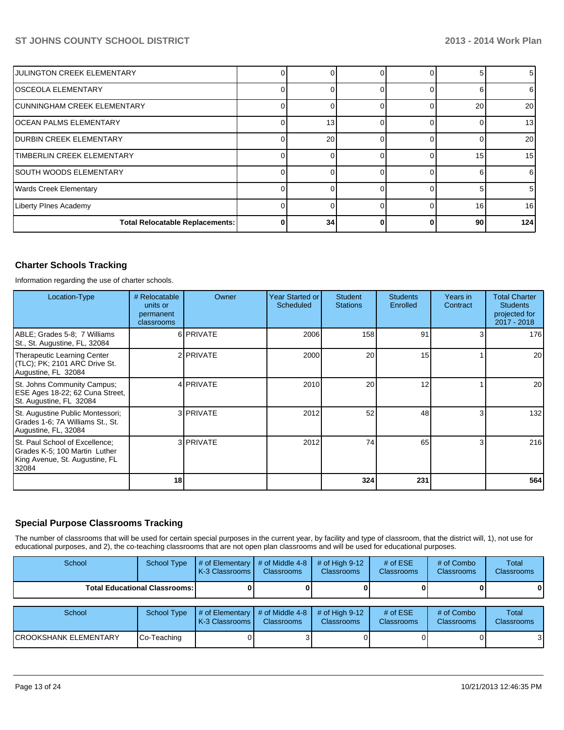| <b>JULINGTON CREEK ELEMENTARY</b> |   |    |  |    | 5 <sub>l</sub>  |
|-----------------------------------|---|----|--|----|-----------------|
| IOSCEOLA ELEMENTARY               |   |    |  |    | 6 I             |
| CUNNINGHAM CREEK ELEMENTARY       |   |    |  | 20 | 20 <sup>1</sup> |
| OCEAN PALMS ELEMENTARY            |   | 13 |  |    | 13 <sub>l</sub> |
| DURBIN CREEK ELEMENTARY           |   | 20 |  |    | 20 <sub>l</sub> |
| TIMBERLIN CREEK ELEMENTARY        |   |    |  | 15 | 15 <sub>l</sub> |
| <b>SOUTH WOODS ELEMENTARY</b>     |   |    |  |    | 6               |
| <b>Wards Creek Elementary</b>     |   |    |  |    | 5 <sub>l</sub>  |
| <b>Liberty PInes Academy</b>      |   |    |  | 16 | 16 <sup>1</sup> |
| Total Relocatable Replacements:   | 0 | 34 |  | 90 | 124             |

### **Charter Schools Tracking**

Information regarding the use of charter schools.

| Location-Type                                                                                              | # Relocatable<br>units or<br>permanent<br>classrooms | Owner            | Year Started or<br>Scheduled | <b>Student</b><br><b>Stations</b> | <b>Students</b><br>Enrolled | Years in<br>Contract | <b>Total Charter</b><br><b>Students</b><br>projected for<br>2017 - 2018 |
|------------------------------------------------------------------------------------------------------------|------------------------------------------------------|------------------|------------------------------|-----------------------------------|-----------------------------|----------------------|-------------------------------------------------------------------------|
| ABLE; Grades 5-8; 7 Williams<br>St., St. Augustine, FL, 32084                                              |                                                      | 6 PRIVATE        | 2006                         | 158                               | 91                          |                      | 176                                                                     |
| Therapeutic Learning Center<br>(TLC); PK; 2101 ARC Drive St.<br>Augustine, FL 32084                        |                                                      | 2 PRIVATE        | 2000                         | 20                                | 15                          |                      | 20 <sub>l</sub>                                                         |
| St. Johns Community Campus;<br>ESE Ages 18-22; 62 Cuna Street,<br>St. Augustine, FL 32084                  |                                                      | 4 <b>PRIVATE</b> | 2010                         | 20                                | 12                          |                      | 20 <sub>l</sub>                                                         |
| St. Augustine Public Montessori;<br>Grades 1-6; 7A Williams St., St.<br>Augustine, FL, 32084               |                                                      | 3 PRIVATE        | 2012                         | 52                                | 48                          |                      | 132                                                                     |
| St. Paul School of Excellence;<br>Grades K-5; 100 Martin Luther<br>King Avenue, St. Augustine, FL<br>32084 |                                                      | 3 PRIVATE        | 2012                         | 74                                | 65                          | 3                    | 216                                                                     |
|                                                                                                            | 18                                                   |                  |                              | 324                               | 231                         |                      | 564                                                                     |

### **Special Purpose Classrooms Tracking**

The number of classrooms that will be used for certain special purposes in the current year, by facility and type of classroom, that the district will, 1), not use for educational purposes, and 2), the co-teaching classrooms that are not open plan classrooms and will be used for educational purposes.

| School                                 |  | <b>IK-3 Classrooms L</b> | School Type $\parallel \#$ of Elementary $\parallel \#$ of Middle 4-8 $\parallel \#$ of High 9-12<br><b>Classrooms</b> | <b>Classrooms</b> | # of $ESE$<br><b>Classrooms</b> | # of Combo<br><b>Classrooms</b> | Total<br><b>Classrooms</b> |
|----------------------------------------|--|--------------------------|------------------------------------------------------------------------------------------------------------------------|-------------------|---------------------------------|---------------------------------|----------------------------|
| <b>Total Educational Classrooms: I</b> |  |                          |                                                                                                                        |                   |                                 | 01                              | 0                          |
|                                        |  |                          |                                                                                                                        |                   |                                 |                                 |                            |

| School                 | School Type        | $\parallel$ # of Elementary $\parallel$ # of Middle 4-8 $\parallel$ # of High 9-12<br><b>IK-3 Classrooms I</b> | <b>Classrooms</b> | <b>Classrooms</b> | # of $ESE$<br><b>Classrooms</b> | # of Combo<br><b>Classrooms</b> | Total<br><b>Classrooms</b> |
|------------------------|--------------------|----------------------------------------------------------------------------------------------------------------|-------------------|-------------------|---------------------------------|---------------------------------|----------------------------|
| ICROOKSHANK ELEMENTARY | <b>Co-Teaching</b> |                                                                                                                |                   |                   |                                 |                                 | $\Omega$<br>. ت            |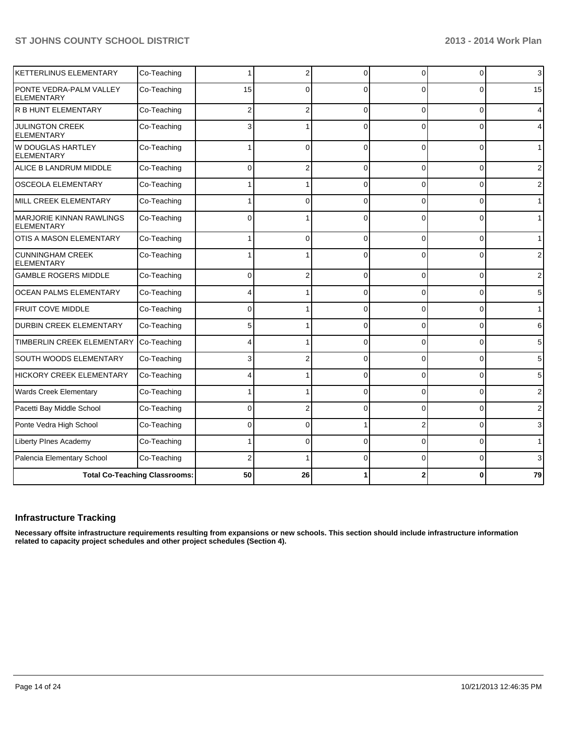| KETTERLINUS ELEMENTARY                               | Co-Teaching                          |          | 2              | $\Omega$    | 0              | $\mathbf 0$    | 3              |
|------------------------------------------------------|--------------------------------------|----------|----------------|-------------|----------------|----------------|----------------|
| PONTE VEDRA-PALM VALLEY<br><b>ELEMENTARY</b>         | Co-Teaching                          | 15       | $\Omega$       | $\Omega$    | 0              | $\Omega$       | 15             |
| <b>R B HUNT ELEMENTARY</b>                           | Co-Teaching                          | 2        | 2              | $\Omega$    | 0              | $\mathbf{0}$   | 4              |
| <b>JULINGTON CREEK</b><br><b>ELEMENTARY</b>          | Co-Teaching                          | 3        |                | $\Omega$    | 0              | 0              | 4              |
| W DOUGLAS HARTLEY<br><b>ELEMENTARY</b>               | Co-Teaching                          |          | $\Omega$       | $\Omega$    | $\Omega$       | 0              | 1              |
| ALICE B LANDRUM MIDDLE                               | Co-Teaching                          | 0        | 2              | $\mathbf 0$ | 0              | 0              | 2              |
| OSCEOLA ELEMENTARY                                   | Co-Teaching                          |          |                | $\Omega$    | 0              | 0              | 2              |
| MILL CREEK ELEMENTARY                                | Co-Teaching                          |          | $\Omega$       | $\Omega$    | $\Omega$       | 0              | $\mathbf{1}$   |
| <b>MARJORIE KINNAN RAWLINGS</b><br><b>ELEMENTARY</b> | Co-Teaching                          | $\Omega$ |                | $\Omega$    | $\Omega$       | $\Omega$       | 1              |
| OTIS A MASON ELEMENTARY                              | Co-Teaching                          | 1        | $\Omega$       | $\Omega$    | 0              | $\mathbf{0}$   | $\mathbf{1}$   |
| <b>CUNNINGHAM CREEK</b><br><b>ELEMENTARY</b>         | Co-Teaching                          |          |                | $\Omega$    | $\Omega$       | $\overline{0}$ | $\overline{2}$ |
| <b>GAMBLE ROGERS MIDDLE</b>                          | Co-Teaching                          | 0        | $\overline{2}$ | $\Omega$    | 0              | 0              | $\mathbf{2}$   |
| <b>OCEAN PALMS ELEMENTARY</b>                        | Co-Teaching                          | 4        |                | $\Omega$    | 0              | 0              | 5              |
| FRUIT COVE MIDDLE                                    | Co-Teaching                          | $\Omega$ |                | $\Omega$    | 0              | 0              | 1              |
| DURBIN CREEK ELEMENTARY                              | Co-Teaching                          | 5        |                | $\Omega$    | 0              | 0              | 6              |
| TIMBERLIN CREEK ELEMENTARY                           | Co-Teaching                          | 4        |                | $\Omega$    | 0              | 0              | 5              |
| SOUTH WOODS ELEMENTARY                               | Co-Teaching                          | 3        |                | $\Omega$    | 0              | 0              | 5              |
| <b>HICKORY CREEK ELEMENTARY</b>                      | Co-Teaching                          |          |                | $\Omega$    | 0              | $\overline{0}$ | 5              |
| Wards Creek Elementary                               | Co-Teaching                          |          |                | $\Omega$    | 0              | 0              | $\overline{2}$ |
| Pacetti Bay Middle School                            | Co-Teaching                          | 0        |                | $\Omega$    | 0              | 0              | $\overline{2}$ |
| Ponte Vedra High School                              | Co-Teaching                          | 0        | O              |             | $\overline{2}$ | 0              | 3              |
| Liberty PInes Academy                                | Co-Teaching                          |          | 0              | $\Omega$    | 0              | 0              | 1              |
| Palencia Elementary School                           | Co-Teaching                          | 2        |                | $\Omega$    | 0              | 0              | 3              |
|                                                      | <b>Total Co-Teaching Classrooms:</b> | 50       | 26             |             |                | 0              | 79             |

# **Infrastructure Tracking**

**Necessary offsite infrastructure requirements resulting from expansions or new schools. This section should include infrastructure information related to capacity project schedules and other project schedules (Section 4).**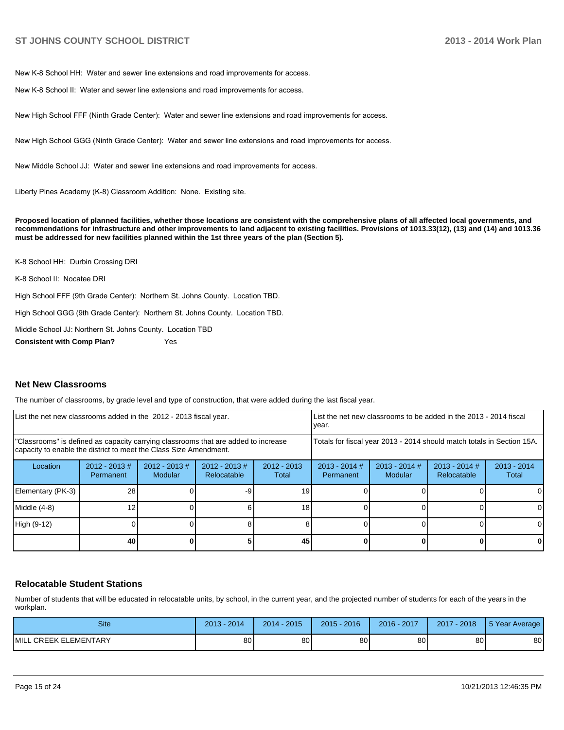New K-8 School HH: Water and sewer line extensions and road improvements for access.

New K-8 School II: Water and sewer line extensions and road improvements for access.

New High School FFF (Ninth Grade Center): Water and sewer line extensions and road improvements for access.

New High School GGG (Ninth Grade Center): Water and sewer line extensions and road improvements for access.

New Middle School J.J. Water and sewer line extensions and road improvements for access

Liberty Pines Academy (K-8) Classroom Addition: None. Existing site.

**Proposed location of planned facilities, whether those locations are consistent with the comprehensive plans of all affected local governments, and recommendations for infrastructure and other improvements to land adjacent to existing facilities. Provisions of 1013.33(12), (13) and (14) and 1013.36 must be addressed for new facilities planned within the 1st three years of the plan (Section 5).**

K-8 School HH: Durbin Crossing DRI

K-8 School II: Nocatee DRI

High School FFF (9th Grade Center): Northern St. Johns County. Location TBD.

High School GGG (9th Grade Center): Northern St. Johns County. Location TBD.

Middle School JJ: Northern St. Johns County. Location TBD

**Consistent with Comp Plan?** Yes

#### **Net New Classrooms**

The number of classrooms, by grade level and type of construction, that were added during the last fiscal year.

| List the net new classrooms added in the 2012 - 2013 fiscal year.                                                                                       |                               |                            | List the net new classrooms to be added in the 2013 - 2014 fiscal<br>Ivear. |                        |                                                                        |                            |                                |                        |
|---------------------------------------------------------------------------------------------------------------------------------------------------------|-------------------------------|----------------------------|-----------------------------------------------------------------------------|------------------------|------------------------------------------------------------------------|----------------------------|--------------------------------|------------------------|
| "Classrooms" is defined as capacity carrying classrooms that are added to increase<br>capacity to enable the district to meet the Class Size Amendment. |                               |                            |                                                                             |                        | Totals for fiscal year 2013 - 2014 should match totals in Section 15A. |                            |                                |                        |
| Location                                                                                                                                                | $2012 - 2013 \#$<br>Permanent | $2012 - 2013$ #<br>Modular | $2012 - 2013 \#$<br>Relocatable                                             | $2012 - 2013$<br>Total | $2013 - 2014$ #<br>Permanent                                           | $2013 - 2014$ #<br>Modular | $2013 - 2014$ #<br>Relocatable | $2013 - 2014$<br>Total |
| Elementary (PK-3)                                                                                                                                       | 28                            |                            | -9                                                                          | 19                     |                                                                        |                            |                                |                        |
| Middle (4-8)                                                                                                                                            | 12                            |                            |                                                                             | 18                     |                                                                        |                            |                                | 01                     |
| High (9-12)                                                                                                                                             |                               |                            |                                                                             |                        |                                                                        |                            |                                |                        |
|                                                                                                                                                         | 40                            |                            |                                                                             | 45                     |                                                                        |                            |                                | 0                      |

#### **Relocatable Student Stations**

Number of students that will be educated in relocatable units, by school, in the current year, and the projected number of students for each of the years in the workplan.

| Site                  | $-2014$<br>2013 | $2014 - 2015$ | $2015 - 2016$   | 2016 - 2017 | 2017 - 2018 | 5 Year Average |
|-----------------------|-----------------|---------------|-----------------|-------------|-------------|----------------|
| MILL CREEK ELEMENTARY | 80 l            | 80            | 80 <sup>1</sup> | 80          | 80          | 80             |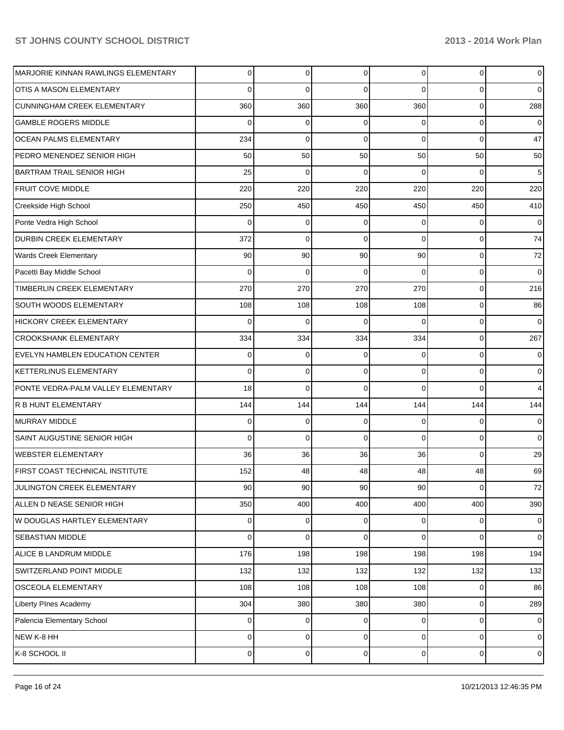| MARJORIE KINNAN RAWLINGS ELEMENTARY | 0              | 0           | $\Omega$ | $\overline{0}$ | $\mathbf 0$ | $\overline{0}$   |
|-------------------------------------|----------------|-------------|----------|----------------|-------------|------------------|
| <b>OTIS A MASON ELEMENTARY</b>      | 0              | $\Omega$    | 0        | $\Omega$       | 0           | $\overline{0}$   |
| <b>CUNNINGHAM CREEK ELEMENTARY</b>  | 360            | 360         | 360      | 360            | $\mathbf 0$ | 288              |
| <b>GAMBLE ROGERS MIDDLE</b>         | 0              | 0           | 0        | $\Omega$       | $\mathbf 0$ | $\overline{0}$   |
| <b>OCEAN PALMS ELEMENTARY</b>       | 234            | $\mathbf 0$ | $\Omega$ | $\Omega$       | $\Omega$    | 47               |
| PEDRO MENENDEZ SENIOR HIGH          | 50             | 50          | 50       | 50             | 50          | 50               |
| <b>BARTRAM TRAIL SENIOR HIGH</b>    | 25             | $\mathbf 0$ | 0        | $\Omega$       | 0           | 5                |
| <b>FRUIT COVE MIDDLE</b>            | 220            | 220         | 220      | 220            | 220         | 220              |
| Creekside High School               | 250            | 450         | 450      | 450            | 450         | 410              |
| Ponte Vedra High School             | $\Omega$       | 0           | 0        | $\Omega$       | $\Omega$    | $\overline{0}$   |
| DURBIN CREEK ELEMENTARY             | 372            | $\mathbf 0$ | $\Omega$ | $\Omega$       | $\Omega$    | 74               |
| <b>Wards Creek Elementary</b>       | 90             | 90          | 90       | 90             | $\mathbf 0$ | 72               |
| Pacetti Bay Middle School           | $\Omega$       | $\mathbf 0$ | 0        | $\Omega$       | 0           | $\overline{0}$   |
| TIMBERLIN CREEK ELEMENTARY          | 270            | 270         | 270      | 270            | $\mathbf 0$ | 216              |
| SOUTH WOODS ELEMENTARY              | 108            | 108         | 108      | 108            | 0           | 86               |
| HICKORY CREEK ELEMENTARY            | $\Omega$       | $\mathbf 0$ | 0        | $\Omega$       | 0           | $\overline{0}$   |
| <b>CROOKSHANK ELEMENTARY</b>        | 334            | 334         | 334      | 334            | $\mathbf 0$ | 267              |
| EVELYN HAMBLEN EDUCATION CENTER     | 0              | 0           | 0        | $\Omega$       | $\mathbf 0$ | $\overline{0}$   |
| <b>KETTERLINUS ELEMENTARY</b>       | 0              | 0           | 0        | $\Omega$       | 0           | $\overline{0}$   |
| PONTE VEDRA-PALM VALLEY ELEMENTARY  | 18             | $\mathbf 0$ | 0        | $\Omega$       | 0           | $\overline{4}$   |
| R B HUNT ELEMENTARY                 | 144            | 144         | 144      | 144            | 144         | 144              |
| <b>MURRAY MIDDLE</b>                | 0              | $\mathbf 0$ | 0        | $\Omega$       | 0           | $\overline{0}$   |
| SAINT AUGUSTINE SENIOR HIGH         | 0              | $\mathbf 0$ | $\Omega$ | $\Omega$       | $\Omega$    | $\overline{0}$   |
| <b>WEBSTER ELEMENTARY</b>           | 36             | 36          | 36       | 36             | $\Omega$    | 29               |
| FIRST COAST TECHNICAL INSTITUTE     | 152            | 48          | 48       | 48             | 48          | 69               |
| JULINGTON CREEK ELEMENTARY          | 90             | 90          | 90       | 90             | $\mathbf 0$ | 72               |
| ALLEN D NEASE SENIOR HIGH           | 350            | 400         | 400      | 400            | 400         | 390              |
| W DOUGLAS HARTLEY ELEMENTARY        | 0              | 0           | 0        | 0              | 0           | $\overline{0}$   |
| SEBASTIAN MIDDLE                    | 0              | $\mathbf 0$ | 0        | $\overline{0}$ | $\mathbf 0$ | $\overline{0}$   |
| ALICE B LANDRUM MIDDLE              | 176            | 198         | 198      | 198            | 198         | 194              |
| SWITZERLAND POINT MIDDLE            | 132            | 132         | 132      | 132            | 132         | 132              |
| OSCEOLA ELEMENTARY                  | 108            | 108         | 108      | 108            | $\mathbf 0$ | 86               |
| Liberty PInes Academy               | 304            | 380         | 380      | 380            | $\mathbf 0$ | 289              |
| Palencia Elementary School          | 0              | $\mathbf 0$ | 0        | $\overline{0}$ | $\mathbf 0$ | $\overline{0}$   |
| NEW K-8 HH                          | 0              | $\mathbf 0$ | 0        | $\overline{0}$ | $\mathbf 0$ | $\overline{0}$   |
| K-8 SCHOOL II                       | $\overline{0}$ | $\pmb{0}$   | 0        | $\overline{0}$ | $\mathbf 0$ | $\boldsymbol{0}$ |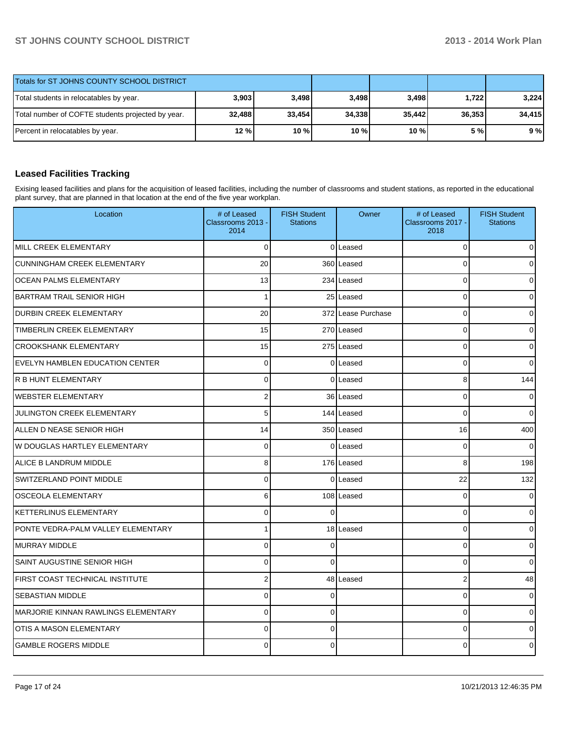| Totals for ST JOHNS COUNTY SCHOOL DISTRICT        |        |         |        |        |        |        |
|---------------------------------------------------|--------|---------|--------|--------|--------|--------|
| Total students in relocatables by year.           | 3,903  | 3.498 l | 3.498  | 3,498  | 1.722  | 3.224  |
| Total number of COFTE students projected by year. | 32,488 | 33,454  | 34,338 | 35,442 | 36.353 | 34,415 |
| Percent in relocatables by year.                  | $12\%$ | 10%     | 10 %   | $10\%$ | 5 % l  | 9%     |

# **Leased Facilities Tracking**

Exising leased facilities and plans for the acquisition of leased facilities, including the number of classrooms and student stations, as reported in the educational plant survey, that are planned in that location at the end of the five year workplan.

| Location                            | # of Leased<br>Classrooms 2013 -<br>2014 | <b>FISH Student</b><br><b>Stations</b> | Owner              | # of Leased<br>Classrooms 2017 -<br>2018 | <b>FISH Student</b><br><b>Stations</b> |
|-------------------------------------|------------------------------------------|----------------------------------------|--------------------|------------------------------------------|----------------------------------------|
| MILL CREEK ELEMENTARY               | $\Omega$                                 |                                        | 0 Leased           | $\mathbf 0$                              | $\overline{0}$                         |
| <b>CUNNINGHAM CREEK ELEMENTARY</b>  | 20                                       |                                        | 360 Leased         | $\Omega$                                 | $\Omega$                               |
| <b>OCEAN PALMS ELEMENTARY</b>       | 13                                       |                                        | 234 Leased         | $\Omega$                                 | 0                                      |
| <b>BARTRAM TRAIL SENIOR HIGH</b>    | 1                                        |                                        | 25 Leased          | 0                                        | $\mathbf 0$                            |
| <b>DURBIN CREEK ELEMENTARY</b>      | 20                                       |                                        | 372 Lease Purchase | $\mathbf 0$                              | $\overline{0}$                         |
| TIMBERLIN CREEK ELEMENTARY          | 15                                       |                                        | 270 Leased         | $\Omega$                                 | 0                                      |
| <b>CROOKSHANK ELEMENTARY</b>        | 15                                       |                                        | 275 Leased         | $\Omega$                                 | 0                                      |
| EVELYN HAMBLEN EDUCATION CENTER     | $\mathbf 0$                              |                                        | 0lLeased           | $\mathbf 0$                              | $\overline{0}$                         |
| <b>R B HUNT ELEMENTARY</b>          | $\overline{0}$                           |                                        | 0 Leased           | 8                                        | 144                                    |
| <b>WEBSTER ELEMENTARY</b>           | $\overline{2}$                           |                                        | 36 Leased          | $\mathbf 0$                              | $\overline{0}$                         |
| <b>JULINGTON CREEK ELEMENTARY</b>   | 5                                        |                                        | 144 Leased         | $\Omega$                                 | $\Omega$                               |
| ALLEN D NEASE SENIOR HIGH           | 14                                       |                                        | 350 Leased         | 16                                       | 400                                    |
| W DOUGLAS HARTLEY ELEMENTARY        | $\Omega$                                 |                                        | 0lLeased           | $\mathbf 0$                              | $\overline{0}$                         |
| ALICE B LANDRUM MIDDLE              | $\mathbf{8}$                             |                                        | 176 Leased         | 8                                        | 198                                    |
| SWITZERLAND POINT MIDDLE            | $\overline{0}$                           |                                        | 0lLeased           | 22                                       | 132                                    |
| <b>OSCEOLA ELEMENTARY</b>           | 6                                        |                                        | 108 Leased         | $\Omega$                                 | 0                                      |
| <b>KETTERLINUS ELEMENTARY</b>       | $\Omega$                                 | $\Omega$                               |                    | $\Omega$                                 | $\overline{0}$                         |
| PONTE VEDRA-PALM VALLEY ELEMENTARY  | 1                                        |                                        | 18 Leased          | $\mathbf{0}$                             | 0                                      |
| MURRAY MIDDLE                       | $\overline{0}$                           | $\Omega$                               |                    | $\Omega$                                 | $\mathbf 0$                            |
| SAINT AUGUSTINE SENIOR HIGH         | $\mathbf{0}$                             | $\Omega$                               |                    | $\Omega$                                 | 0                                      |
| FIRST COAST TECHNICAL INSTITUTE     | $\overline{2}$                           |                                        | 48 Leased          | $\overline{2}$                           | 48                                     |
| <b>SEBASTIAN MIDDLE</b>             | $\overline{0}$                           | $\Omega$                               |                    | $\mathbf 0$                              | 0                                      |
| MARJORIE KINNAN RAWLINGS ELEMENTARY | $\Omega$                                 | $\Omega$                               |                    | $\mathbf{0}$                             | 0                                      |
| <b>OTIS A MASON ELEMENTARY</b>      | $\overline{0}$                           | $\Omega$                               |                    | $\Omega$                                 | $\Omega$                               |
| <b>GAMBLE ROGERS MIDDLE</b>         | $\Omega$                                 | $\Omega$                               |                    | $\Omega$                                 | 0                                      |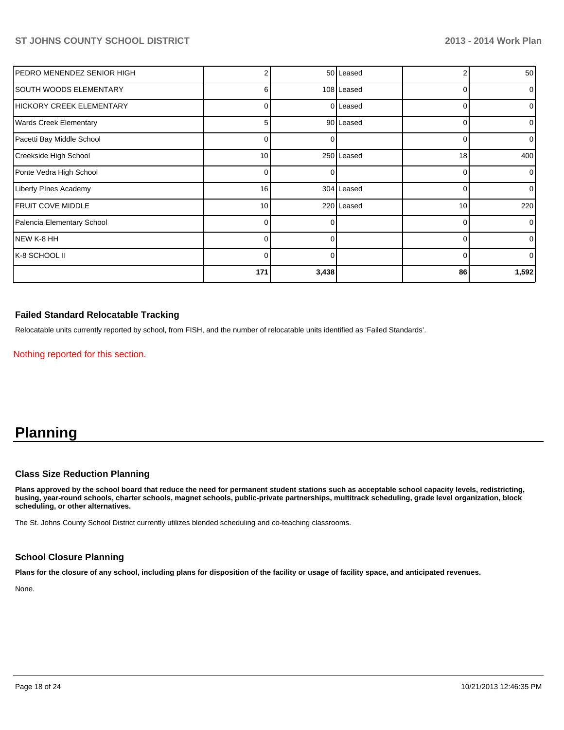| IPEDRO MENENDEZ SENIOR HIGH   |                 |       | 50 Leased  |    | 50             |
|-------------------------------|-----------------|-------|------------|----|----------------|
| SOUTH WOODS ELEMENTARY        | 6               |       | 108 Leased | 0  | $\overline{0}$ |
| HICKORY CREEK ELEMENTARY      | 0               |       | 0 Leased   |    | $\overline{0}$ |
| <b>Wards Creek Elementary</b> | 5               |       | 90 Leased  | 0  | $\overline{0}$ |
| Pacetti Bay Middle School     | 0               |       |            |    | $\overline{0}$ |
| Creekside High School         | 10 <sup>1</sup> |       | 250 Leased | 18 | 400            |
| Ponte Vedra High School       | $\Omega$        | U     |            | ∩  | $\overline{0}$ |
| <b>Liberty PInes Academy</b>  | 16              |       | 304 Leased | ∩  | $\overline{0}$ |
| <b>IFRUIT COVE MIDDLE</b>     | 10 <sup>1</sup> |       | 220 Leased | 10 | 220            |
| Palencia Elementary School    | 0               | U     |            | 0  | $\overline{0}$ |
| INEW K-8 HH                   | $\overline{0}$  | 0     |            | 0  | $\overline{0}$ |
| IK-8 SCHOOL II                | $\overline{0}$  | O     |            | 0  | $\overline{0}$ |
|                               | 171             | 3,438 |            | 86 | 1,592          |

#### **Failed Standard Relocatable Tracking**

Relocatable units currently reported by school, from FISH, and the number of relocatable units identified as 'Failed Standards'.

Nothing reported for this section.

# **Planning**

#### **Class Size Reduction Planning**

**Plans approved by the school board that reduce the need for permanent student stations such as acceptable school capacity levels, redistricting, busing, year-round schools, charter schools, magnet schools, public-private partnerships, multitrack scheduling, grade level organization, block scheduling, or other alternatives.**

The St. Johns County School District currently utilizes blended scheduling and co-teaching classrooms.

#### **School Closure Planning**

**Plans for the closure of any school, including plans for disposition of the facility or usage of facility space, and anticipated revenues.**

None.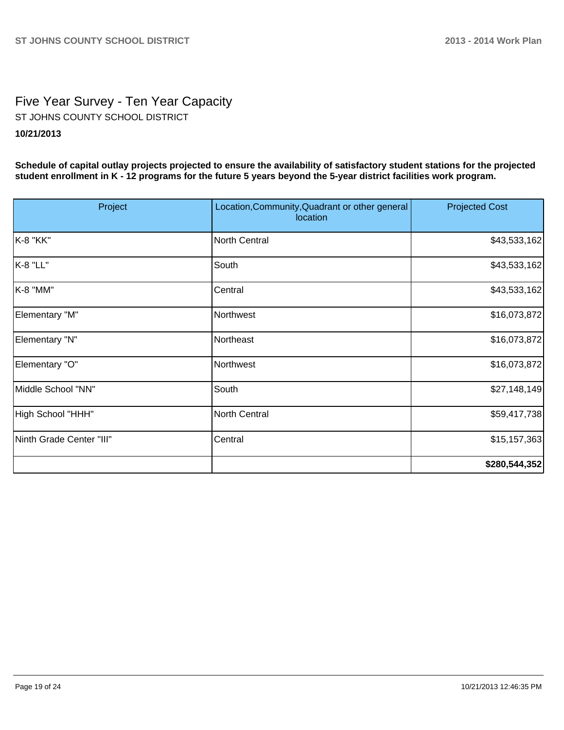# Five Year Survey - Ten Year Capacity ST JOHNS COUNTY SCHOOL DISTRICT

# **10/21/2013**

**Schedule of capital outlay projects projected to ensure the availability of satisfactory student stations for the projected student enrollment in K - 12 programs for the future 5 years beyond the 5-year district facilities work program.**

| Project                  | Location, Community, Quadrant or other general<br>location | <b>Projected Cost</b> |
|--------------------------|------------------------------------------------------------|-----------------------|
| K-8 "KK"                 | <b>North Central</b>                                       | \$43,533,162          |
| K-8 "LL"                 | South                                                      | \$43,533,162          |
| K-8 "MM"                 | Central                                                    | \$43,533,162          |
| Elementary "M"           | Northwest                                                  | \$16,073,872          |
| Elementary "N"           | Northeast                                                  | \$16,073,872          |
| Elementary "O"           | Northwest                                                  | \$16,073,872          |
| Middle School "NN"       | South                                                      | \$27,148,149          |
| High School "HHH"        | <b>North Central</b>                                       | \$59,417,738          |
| Ninth Grade Center "III" | Central                                                    | \$15,157,363          |
|                          |                                                            | \$280,544,352         |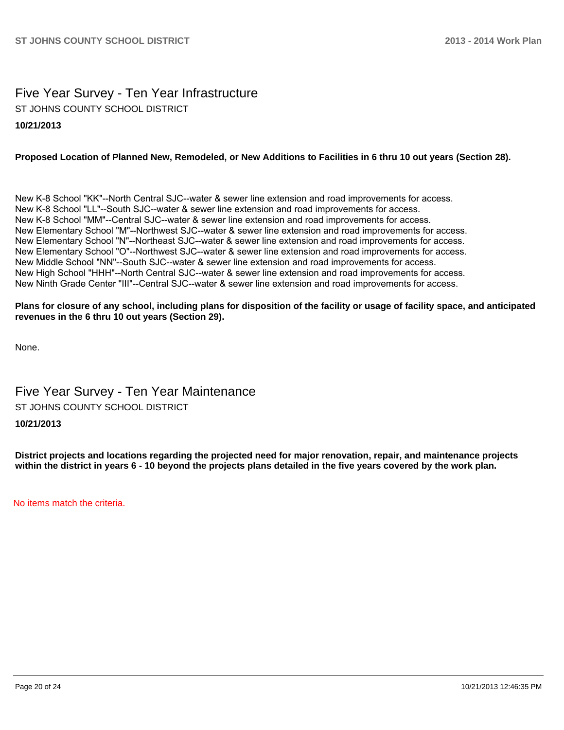# Five Year Survey - Ten Year Infrastructure ST JOHNS COUNTY SCHOOL DISTRICT

#### **10/21/2013**

#### **Proposed Location of Planned New, Remodeled, or New Additions to Facilities in 6 thru 10 out years (Section 28).**

New K-8 School "KK"--North Central SJC--water & sewer line extension and road improvements for access. New K-8 School "LL"--South SJC--water & sewer line extension and road improvements for access. New K-8 School "MM"--Central SJC--water & sewer line extension and road improvements for access. New Elementary School "M"--Northwest SJC--water & sewer line extension and road improvements for access. New Elementary School "N"--Northeast SJC--water & sewer line extension and road improvements for access. New Elementary School "O"--Northwest SJC--water & sewer line extension and road improvements for access. New Middle School "NN"--South SJC--water & sewer line extension and road improvements for access. New High School "HHH"--North Central SJC--water & sewer line extension and road improvements for access. New Ninth Grade Center "III"--Central SJC--water & sewer line extension and road improvements for access.

#### **Plans for closure of any school, including plans for disposition of the facility or usage of facility space, and anticipated revenues in the 6 thru 10 out years (Section 29).**

None.

# Five Year Survey - Ten Year Maintenance ST JOHNS COUNTY SCHOOL DISTRICT

#### **10/21/2013**

**District projects and locations regarding the projected need for major renovation, repair, and maintenance projects within the district in years 6 - 10 beyond the projects plans detailed in the five years covered by the work plan.**

No items match the criteria.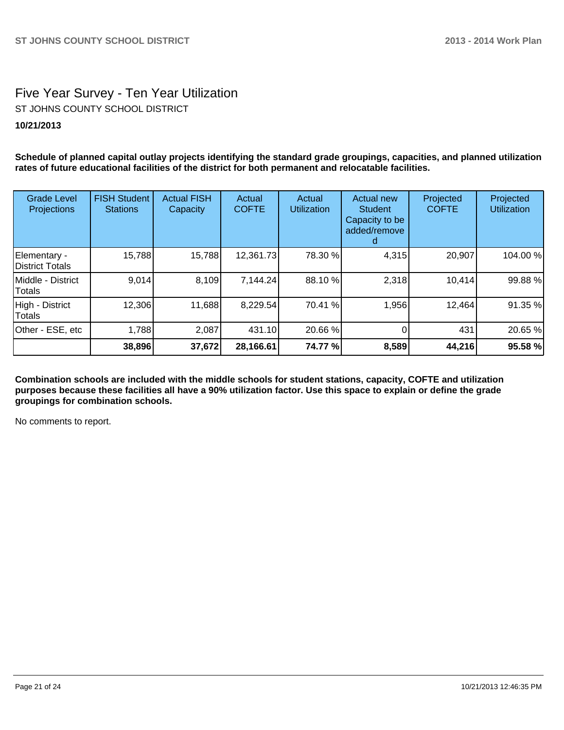# Five Year Survey - Ten Year Utilization

ST JOHNS COUNTY SCHOOL DISTRICT

# **10/21/2013**

**Schedule of planned capital outlay projects identifying the standard grade groupings, capacities, and planned utilization rates of future educational facilities of the district for both permanent and relocatable facilities.**

| <b>Grade Level</b><br>Projections | <b>FISH Student</b><br><b>Stations</b> | <b>Actual FISH</b><br>Capacity | Actual<br><b>COFTE</b> | Actual<br><b>Utilization</b> | <b>Actual new</b><br><b>Student</b><br>Capacity to be<br>added/remove | Projected<br><b>COFTE</b> | Projected<br><b>Utilization</b> |
|-----------------------------------|----------------------------------------|--------------------------------|------------------------|------------------------------|-----------------------------------------------------------------------|---------------------------|---------------------------------|
| Elementary -<br>District Totals   | 15,788                                 | 15,788                         | 12,361.73              | 78.30 %                      | 4,315                                                                 | 20,907                    | 104.00 %                        |
| Middle - District<br>Totals       | 9,014                                  | 8,109                          | 7,144.24               | 88.10 %                      | 2,318                                                                 | 10,414                    | 99.88 %                         |
| High - District<br>Totals         | 12,306                                 | 11,688                         | 8,229.54               | 70.41 %                      | 1,956                                                                 | 12,464                    | 91.35 %                         |
| Other - ESE, etc                  | 1,788                                  | 2,087                          | 431.10                 | 20.66 %                      |                                                                       | 431                       | 20.65 %                         |
|                                   | 38,896                                 | 37,672                         | 28,166.61              | 74.77 %                      | 8,589                                                                 | 44,216                    | 95.58 %                         |

**Combination schools are included with the middle schools for student stations, capacity, COFTE and utilization purposes because these facilities all have a 90% utilization factor. Use this space to explain or define the grade groupings for combination schools.**

No comments to report.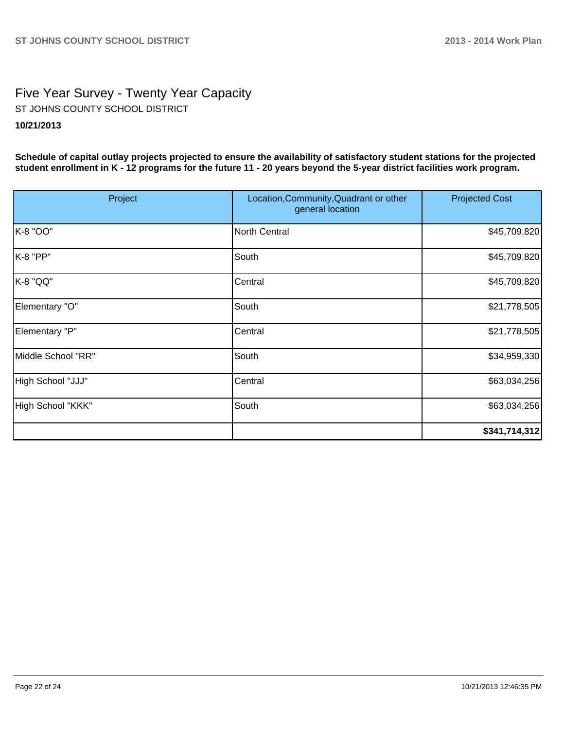# Five Year Survey - Twenty Year Capacity ST JOHNS COUNTY SCHOOL DISTRICT

# **10/21/2013**

**Schedule of capital outlay projects projected to ensure the availability of satisfactory student stations for the projected student enrollment in K - 12 programs for the future 11 - 20 years beyond the 5-year district facilities work program.**

| Project            | Location, Community, Quadrant or other<br>general location | <b>Projected Cost</b> |
|--------------------|------------------------------------------------------------|-----------------------|
| K-8 "OO"           | North Central                                              | \$45,709,820          |
| K-8 "PP"           | South                                                      | \$45,709,820          |
| K-8 "QQ"           | Central                                                    | \$45,709,820          |
| Elementary "O"     | South                                                      | \$21,778,505          |
| Elementary "P"     | Central                                                    | \$21,778,505          |
| Middle School "RR" | South                                                      | \$34,959,330          |
| High School "JJJ"  | Central                                                    | \$63,034,256          |
| High School "KKK"  | South                                                      | \$63,034,256          |
|                    |                                                            | \$341,714,312]        |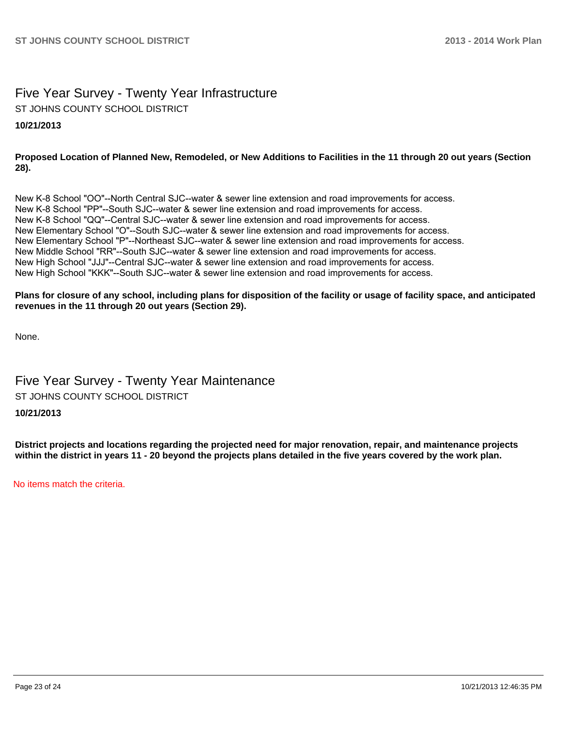# Five Year Survey - Twenty Year Infrastructure

ST JOHNS COUNTY SCHOOL DISTRICT

# **10/21/2013**

### **Proposed Location of Planned New, Remodeled, or New Additions to Facilities in the 11 through 20 out years (Section 28).**

New K-8 School "OO"--North Central SJC--water & sewer line extension and road improvements for access. New K-8 School "PP"--South SJC--water & sewer line extension and road improvements for access. New K-8 School "QQ"--Central SJC--water & sewer line extension and road improvements for access. New Elementary School "O"--South SJC--water & sewer line extension and road improvements for access. New Elementary School "P"--Northeast SJC--water & sewer line extension and road improvements for access. New Middle School "RR"--South SJC--water & sewer line extension and road improvements for access. New High School "JJJ"--Central SJC--water & sewer line extension and road improvements for access. New High School "KKK"--South SJC--water & sewer line extension and road improvements for access.

#### **Plans for closure of any school, including plans for disposition of the facility or usage of facility space, and anticipated revenues in the 11 through 20 out years (Section 29).**

None.

# Five Year Survey - Twenty Year Maintenance ST JOHNS COUNTY SCHOOL DISTRICT

# **10/21/2013**

**District projects and locations regarding the projected need for major renovation, repair, and maintenance projects within the district in years 11 - 20 beyond the projects plans detailed in the five years covered by the work plan.**

No items match the criteria.